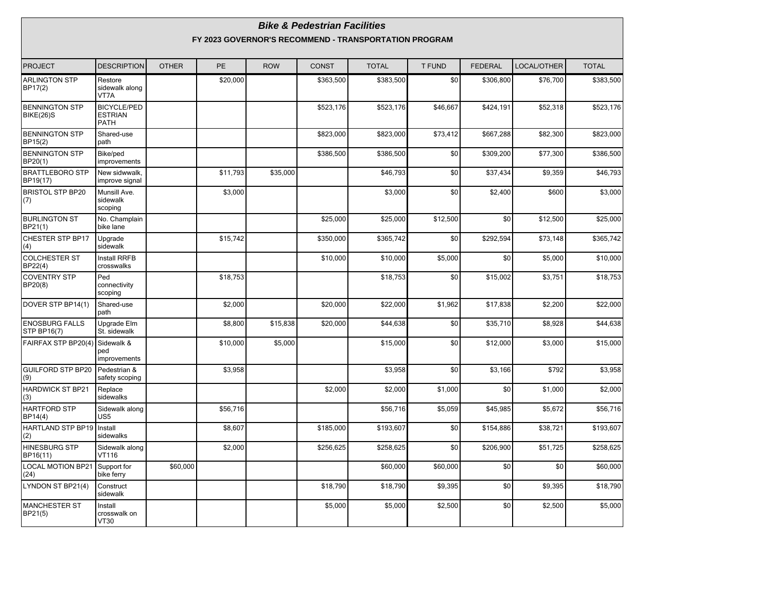|                                           |                                                     |              |           |            | <b>Bike &amp; Pedestrian Facilities</b> | FY 2023 GOVERNOR'S RECOMMEND - TRANSPORTATION PROGRAM |               |                |             |              |
|-------------------------------------------|-----------------------------------------------------|--------------|-----------|------------|-----------------------------------------|-------------------------------------------------------|---------------|----------------|-------------|--------------|
| <b>PROJECT</b>                            | <b>DESCRIPTION</b>                                  | <b>OTHER</b> | <b>PE</b> | <b>ROW</b> | <b>CONST</b>                            | <b>TOTAL</b>                                          | <b>T FUND</b> | <b>FEDERAL</b> | LOCAL/OTHER | <b>TOTAL</b> |
| <b>ARLINGTON STP</b><br>BP17(2)           | Restore<br>sidewalk along<br>VT7A                   |              | \$20,000  |            | \$363.500                               | \$383.500                                             | \$0           | \$306,800      | \$76,700    | \$383,500    |
| <b>BENNINGTON STP</b><br><b>BIKE(26)S</b> | <b>BICYCLE/PED</b><br><b>ESTRIAN</b><br><b>PATH</b> |              |           |            | \$523,176                               | \$523,176                                             | \$46.667      | \$424,191      | \$52.318    | \$523,176    |
| <b>BENNINGTON STP</b><br>BP15(2)          | Shared-use<br>path                                  |              |           |            | \$823,000                               | \$823,000                                             | \$73,412      | \$667,288      | \$82,300    | \$823,000    |
| <b>BENNINGTON STP</b><br>BP20(1)          | Bike/ped<br>improvements                            |              |           |            | \$386,500                               | \$386,500                                             | \$0           | \$309,200      | \$77,300    | \$386,500    |
| <b>BRATTLEBORO STP</b><br>BP19(17)        | New sidwwalk.<br>improve signal                     |              | \$11,793  | \$35,000   |                                         | \$46,793                                              | \$0           | \$37,434       | \$9,359     | \$46,793     |
| <b>BRISTOL STP BP20</b><br>(7)            | Munsill Ave.<br>sidewalk<br>scoping                 |              | \$3,000   |            |                                         | \$3,000                                               | \$0           | \$2,400        | \$600       | \$3,000      |
| <b>BURLINGTON ST</b><br>BP21(1)           | No. Champlain<br>bike lane                          |              |           |            | \$25,000                                | \$25,000                                              | \$12,500      | \$0            | \$12,500    | \$25,000     |
| <b>CHESTER STP BP17</b><br>(4)            | Upgrade<br>sidewalk                                 |              | \$15,742  |            | \$350,000                               | \$365,742                                             | \$0           | \$292,594      | \$73,148    | \$365,742    |
| <b>COLCHESTER ST</b><br>BP22(4)           | Install RRFB<br>crosswalks                          |              |           |            | \$10,000                                | \$10,000                                              | \$5,000       | \$0            | \$5,000     | \$10,000     |
| <b>COVENTRY STP</b><br>BP20(8)            | Ped<br>connectivity<br>scoping                      |              | \$18,753  |            |                                         | \$18,753                                              | \$0           | \$15,002       | \$3,751     | \$18,753     |
| DOVER STP BP14(1)                         | Shared-use<br>path                                  |              | \$2,000   |            | \$20,000                                | \$22,000                                              | \$1,962       | \$17,838       | \$2,200     | \$22,000     |
| <b>ENOSBURG FALLS</b><br>STP BP16(7)      | Upgrade Elm<br>St. sidewalk                         |              | \$8,800   | \$15,838   | \$20,000                                | \$44,638                                              | \$0           | \$35,710       | \$8,928     | \$44,638     |
| FAIRFAX STP BP20(4)                       | Sidewalk &<br>ped<br>improvements                   |              | \$10,000  | \$5,000    |                                         | \$15,000                                              | \$0           | \$12,000       | \$3,000     | \$15,000     |
| <b>GUILFORD STP BP20</b><br>(9)           | Pedestrian &<br>safety scoping                      |              | \$3,958   |            |                                         | \$3,958                                               | \$0           | \$3,166        | \$792       | \$3,958      |
| <b>HARDWICK ST BP21</b><br>(3)            | Replace<br>sidewalks                                |              |           |            | \$2,000                                 | \$2,000                                               | \$1,000       | \$0            | \$1,000     | \$2,000      |
| <b>HARTFORD STP</b><br>BP14(4)            | Sidewalk along<br>US5                               |              | \$56,716  |            |                                         | \$56,716                                              | \$5,059       | \$45,985       | \$5,672     | \$56,716     |
| <b>HARTLAND STP BP19</b><br>(2)           | Install<br>sidewalks                                |              | \$8,607   |            | \$185,000                               | \$193,607                                             | \$0           | \$154,886      | \$38,721    | \$193,607    |
| <b>HINESBURG STP</b><br>BP16(11)          | Sidewalk along<br>VT116                             |              | \$2,000   |            | \$256,625                               | \$258,625                                             | \$0           | \$206,900      | \$51,725    | \$258,625    |
| <b>LOCAL MOTION BP21</b><br>(24)          | Support for<br>bike ferry                           | \$60,000     |           |            |                                         | \$60,000                                              | \$60,000      | \$0            | \$0         | \$60,000     |
| LYNDON ST BP21(4)                         | Construct<br>sidewalk                               |              |           |            | \$18,790                                | \$18,790                                              | \$9,395       | \$0            | \$9,395     | \$18,790     |
| <b>MANCHESTER ST</b><br>BP21(5)           | Install<br>crosswalk on<br><b>VT30</b>              |              |           |            | \$5,000                                 | \$5,000                                               | \$2,500       | \$0            | \$2,500     | \$5,000      |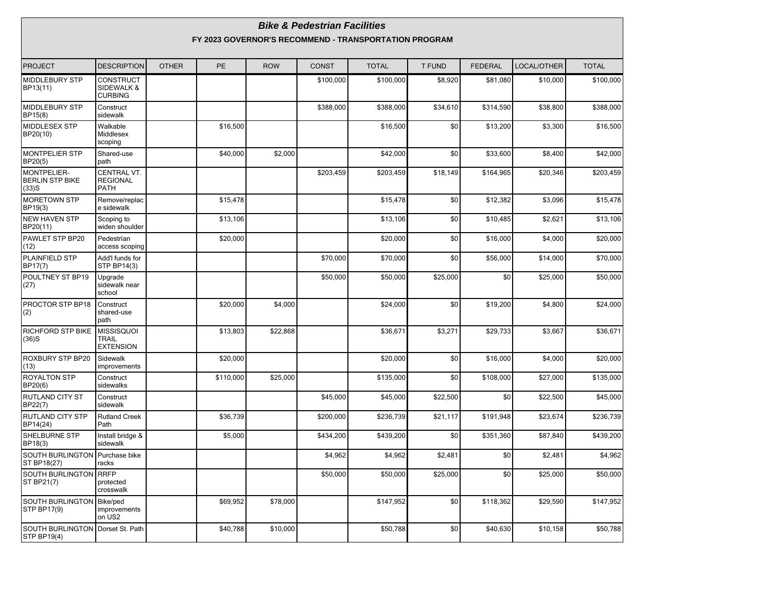|                                                          | <b>Bike &amp; Pedestrian Facilities</b><br>FY 2023 GOVERNOR'S RECOMMEND - TRANSPORTATION PROGRAM |              |           |            |              |              |               |                |             |              |  |  |  |
|----------------------------------------------------------|--------------------------------------------------------------------------------------------------|--------------|-----------|------------|--------------|--------------|---------------|----------------|-------------|--------------|--|--|--|
| <b>PROJECT</b>                                           | <b>DESCRIPTION</b>                                                                               | <b>OTHER</b> | PE        | <b>ROW</b> | <b>CONST</b> | <b>TOTAL</b> | <b>T FUND</b> | <b>FEDERAL</b> | LOCAL/OTHER | <b>TOTAL</b> |  |  |  |
| MIDDLEBURY STP<br>BP13(11)                               | <b>CONSTRUCT</b><br>SIDEWALK &<br><b>CURBING</b>                                                 |              |           |            | \$100,000    | \$100,000    | \$8,920       | \$81,080       | \$10,000    | \$100,000    |  |  |  |
| <b>MIDDLEBURY STP</b><br>BP15(8)                         | Construct<br>sidewalk                                                                            |              |           |            | \$388,000    | \$388,000    | \$34,610      | \$314,590      | \$38,800    | \$388,000    |  |  |  |
| MIDDLESEX STP<br>BP20(10)                                | Walkable<br>Middlesex<br>scoping                                                                 |              | \$16,500  |            |              | \$16,500     | \$0           | \$13,200       | \$3,300     | \$16,500     |  |  |  |
| <b>MONTPELIER STP</b><br>BP20(5)                         | Shared-use<br>path                                                                               |              | \$40,000  | \$2,000    |              | \$42,000     | \$0           | \$33,600       | \$8,400     | \$42,000     |  |  |  |
| <b>MONTPELIER-</b><br><b>BERLIN STP BIKE</b><br>$(33)$ S | CENTRAL VT.<br><b>REGIONAL</b><br><b>PATH</b>                                                    |              |           |            | \$203,459    | \$203,459    | \$18,149      | \$164,965      | \$20,346    | \$203,459    |  |  |  |
| <b>MORETOWN STP</b><br>BP19(3)                           | Remove/replac<br>e sidewalk                                                                      |              | \$15,478  |            |              | \$15,478     | \$0           | \$12,382       | \$3,096     | \$15,478     |  |  |  |
| <b>NEW HAVEN STP</b><br>BP20(11)                         | Scoping to<br>widen shoulder                                                                     |              | \$13,106  |            |              | \$13,106     | \$0           | \$10,485       | \$2,621     | \$13,106     |  |  |  |
| PAWLET STP BP20<br>(12)                                  | Pedestrian<br>access scoping                                                                     |              | \$20,000  |            |              | \$20,000     | \$0           | \$16,000       | \$4,000     | \$20,000     |  |  |  |
| <b>PLAINFIELD STP</b><br>BP17(7)                         | Add'I funds for<br><b>STP BP14(3)</b>                                                            |              |           |            | \$70,000     | \$70,000     | \$0           | \$56,000       | \$14,000    | \$70,000     |  |  |  |
| POULTNEY ST BP19<br>(27)                                 | Upgrade<br>sidewalk near<br>school                                                               |              |           |            | \$50,000     | \$50,000     | \$25,000      | \$0            | \$25,000    | \$50,000     |  |  |  |
| PROCTOR STP BP18<br>(2)                                  | Construct<br>shared-use<br>path                                                                  |              | \$20,000  | \$4,000    |              | \$24,000     | \$0           | \$19,200       | \$4,800     | \$24,000     |  |  |  |
| RICHFORD STP BIKE<br>$(36)$ S                            | <b>MISSISQUOI</b><br><b>TRAIL</b><br><b>EXTENSION</b>                                            |              | \$13,803  | \$22,868   |              | \$36,671     | \$3,271       | \$29,733       | \$3,667     | \$36,671     |  |  |  |
| ROXBURY STP BP20<br>(13)                                 | Sidewalk<br>improvements                                                                         |              | \$20,000  |            |              | \$20,000     | \$0           | \$16,000       | \$4,000     | \$20,000     |  |  |  |
| <b>ROYALTON STP</b><br>BP20(6)                           | Construct<br>sidewalks                                                                           |              | \$110,000 | \$25,000   |              | \$135,000    | \$0           | \$108,000      | \$27,000    | \$135,000    |  |  |  |
| RUTLAND CITY ST<br>BP22(7)                               | Construct<br>sidewalk                                                                            |              |           |            | \$45,000     | \$45,000     | \$22,500      | \$0            | \$22,500    | \$45,000     |  |  |  |
| <b>RUTLAND CITY STP</b><br>BP14(24)                      | <b>Rutland Creek</b><br>Path                                                                     |              | \$36.739  |            | \$200,000    | \$236,739    | \$21,117      | \$191,948      | \$23,674    | \$236,739    |  |  |  |
| SHELBURNE STP<br>BP18(3)                                 | Install bridge &<br>sidewalk                                                                     |              | \$5,000   |            | \$434,200    | \$439,200    | \$0           | \$351,360      | \$87.840    | \$439,200    |  |  |  |
| SOUTH BURLINGTON Purchase bike<br>ST BP18(27)            | racks                                                                                            |              |           |            | \$4,962      | \$4,962      | \$2,481       | \$0            | \$2,481     | \$4,962      |  |  |  |
| SOUTH BURLINGTON<br>ST BP21(7)                           | <b>RRFP</b><br>protected<br>crosswalk                                                            |              |           |            | \$50,000     | \$50,000     | \$25,000      | \$0            | \$25,000    | \$50,000     |  |  |  |
| SOUTH BURLINGTON Bike/ped<br>STP BP17(9)                 | improvements<br>on US2                                                                           |              | \$69,952  | \$78,000   |              | \$147,952    | \$0           | \$118,362      | \$29,590    | \$147,952    |  |  |  |
| SOUTH BURLINGTON   Dorset St. Path<br><b>STP BP19(4)</b> |                                                                                                  |              | \$40,788  | \$10,000   |              | \$50,788     | \$0           | \$40,630       | \$10,158    | \$50,788     |  |  |  |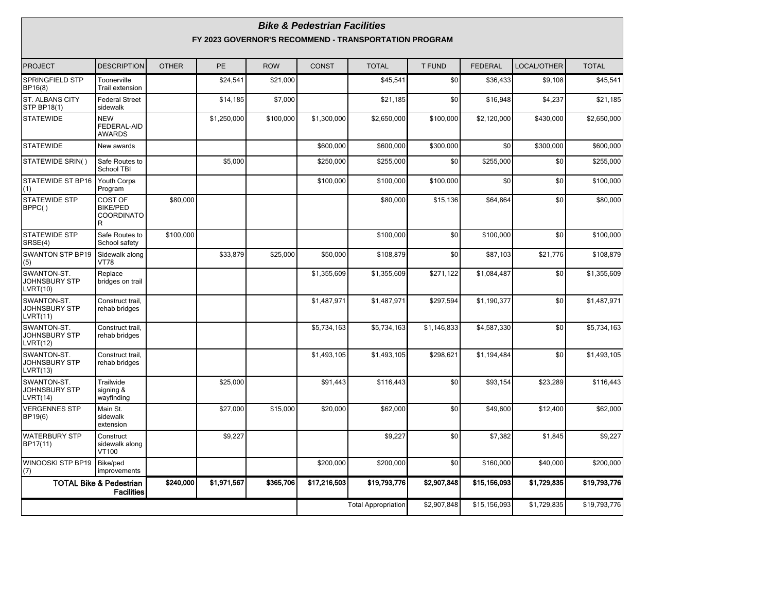|                                                 |                                                         |              |             |            | <b>Bike &amp; Pedestrian Facilities</b> | FY 2023 GOVERNOR'S RECOMMEND - TRANSPORTATION PROGRAM |               |                |             |              |
|-------------------------------------------------|---------------------------------------------------------|--------------|-------------|------------|-----------------------------------------|-------------------------------------------------------|---------------|----------------|-------------|--------------|
| <b>PROJECT</b>                                  | <b>DESCRIPTION</b>                                      | <b>OTHER</b> | <b>PE</b>   | <b>ROW</b> | <b>CONST</b>                            | <b>TOTAL</b>                                          | <b>T FUND</b> | <b>FEDERAL</b> | LOCAL/OTHER | <b>TOTAL</b> |
| <b>SPRINGFIELD STP</b><br>BP16(8)               | Toonerville<br><b>Trail extension</b>                   |              | \$24,541    | \$21,000   |                                         | \$45,541                                              | \$0           | \$36,433       | \$9,108     | \$45,541     |
| ST. ALBANS CITY<br><b>STP BP18(1)</b>           | <b>Federal Street</b><br>sidewalk                       |              | \$14,185    | \$7,000    |                                         | \$21,185                                              | \$0           | \$16,948       | \$4,237     | \$21,185     |
| <b>STATEWIDE</b>                                | <b>NEW</b><br>FEDERAL-AID<br><b>AWARDS</b>              |              | \$1,250,000 | \$100,000  | \$1,300,000                             | \$2,650,000                                           | \$100,000     | \$2,120,000    | \$430,000   | \$2,650,000  |
| <b>STATEWIDE</b>                                | New awards                                              |              |             |            | \$600,000                               | \$600,000                                             | \$300,000     | \$0            | \$300,000   | \$600,000    |
| STATEWIDE SRIN()                                | Safe Routes to<br>School TBI                            |              | \$5,000     |            | \$250,000                               | \$255,000                                             | \$0           | \$255.000      | \$0         | \$255,000    |
| STATEWIDE ST BP16<br>(1)                        | Youth Corps<br>Program                                  |              |             |            | \$100,000                               | \$100,000                                             | \$100,000     | \$0            | \$0         | \$100,000    |
| STATEWIDE STP<br>BPPC()                         | COST OF<br><b>BIKE/PED</b><br><b>COORDINATO</b><br>R    | \$80,000     |             |            |                                         | \$80,000                                              | \$15,136      | \$64,864       | \$0         | \$80,000     |
| <b>STATEWIDE STP</b><br>SRSE(4)                 | Safe Routes to<br>School safety                         | \$100,000    |             |            |                                         | \$100.000                                             | \$0           | \$100,000      | \$0         | \$100,000    |
| <b>SWANTON STP BP19</b><br>(5)                  | Sidewalk along<br><b>VT78</b>                           |              | \$33,879    | \$25,000   | \$50,000                                | \$108,879                                             | \$0           | \$87,103       | \$21,776    | \$108,879    |
| SWANTON-ST.<br><b>JOHNSBURY STP</b><br>LVRT(10) | Replace<br>bridges on trail                             |              |             |            | \$1,355,609                             | \$1,355,609                                           | \$271,122     | \$1,084,487    | \$0         | \$1,355,609  |
| SWANTON-ST.<br>JOHNSBURY STP<br>LVRT(11)        | Construct trail,<br>rehab bridges                       |              |             |            | \$1,487,971                             | \$1,487,971                                           | \$297,594     | \$1,190,377    | \$0         | \$1,487,971  |
| SWANTON-ST.<br><b>JOHNSBURY STP</b><br>LVRT(12) | Construct trail,<br>rehab bridges                       |              |             |            | \$5,734,163                             | \$5,734,163                                           | \$1,146,833   | \$4,587,330    | \$0         | \$5,734,163  |
| SWANTON-ST.<br><b>JOHNSBURY STP</b><br>LVRT(13) | Construct trail,<br>rehab bridges                       |              |             |            | \$1,493,105                             | \$1,493,105                                           | \$298,621     | \$1,194,484    | \$0         | \$1,493,105  |
| SWANTON-ST.<br><b>JOHNSBURY STP</b><br>LVRT(14) | Trailwide<br>signing &<br>wayfinding                    |              | \$25.000    |            | \$91.443                                | \$116.443                                             | \$0           | \$93,154       | \$23,289    | \$116,443    |
| <b>VERGENNES STP</b><br>BP19(6)                 | Main St.<br>sidewalk<br>extension                       |              | \$27,000    | \$15,000   | \$20,000                                | \$62,000                                              | \$0           | \$49,600       | \$12,400    | \$62,000     |
| <b>WATERBURY STP</b><br>BP17(11)                | Construct<br>sidewalk along<br>VT100                    |              | \$9,227     |            |                                         | \$9,227                                               | \$0           | \$7,382        | \$1,845     | \$9,227      |
| WINOOSKI STP BP19<br>(7)                        | Bike/ped<br>improvements                                |              |             |            | \$200,000                               | \$200,000                                             | \$0           | \$160,000      | \$40,000    | \$200,000    |
|                                                 | <b>TOTAL Bike &amp; Pedestrian</b><br><b>Facilities</b> | \$240,000    | \$1,971,567 | \$365,706  | \$17,216,503                            | \$19,793,776                                          | \$2,907,848   | \$15,156,093   | \$1,729,835 | \$19,793,776 |
|                                                 |                                                         |              |             |            |                                         | <b>Total Appropriation</b>                            | \$2,907,848   | \$15,156,093   | \$1,729,835 | \$19,793,776 |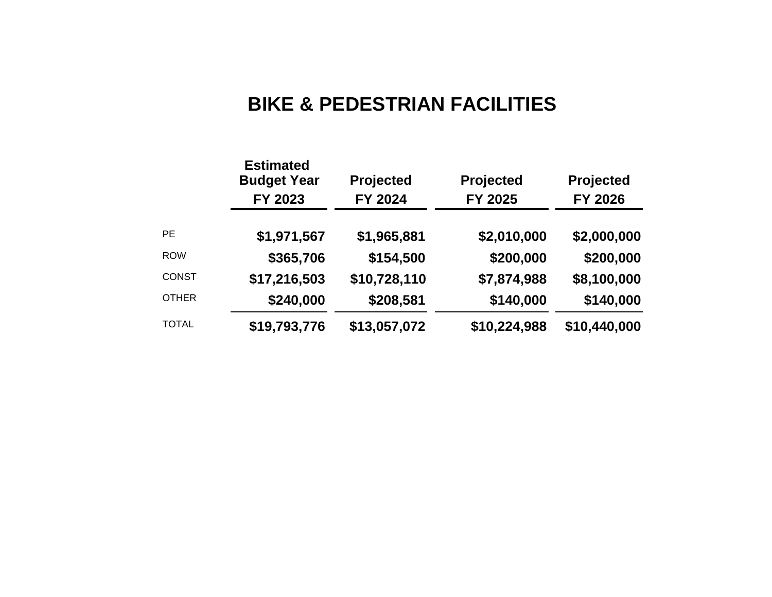# **BIKE & PEDESTRIAN FACILITIES**

|              | <b>Estimated</b><br><b>Budget Year</b><br>FY 2023 | Projected<br>FY 2024 | <b>Projected</b><br>FY 2025 | <b>Projected</b><br><b>FY 2026</b> |
|--------------|---------------------------------------------------|----------------------|-----------------------------|------------------------------------|
| <b>PE</b>    | \$1,971,567                                       | \$1,965,881          | \$2,010,000                 | \$2,000,000                        |
| <b>ROW</b>   | \$365,706                                         | \$154,500            | \$200,000                   | \$200,000                          |
| <b>CONST</b> | \$17,216,503                                      | \$10,728,110         | \$7,874,988                 | \$8,100,000                        |
| <b>OTHER</b> | \$240,000                                         | \$208,581            | \$140,000                   | \$140,000                          |
| <b>TOTAL</b> | \$19,793,776                                      | \$13,057,072         | \$10,224,988                | \$10,440,000                       |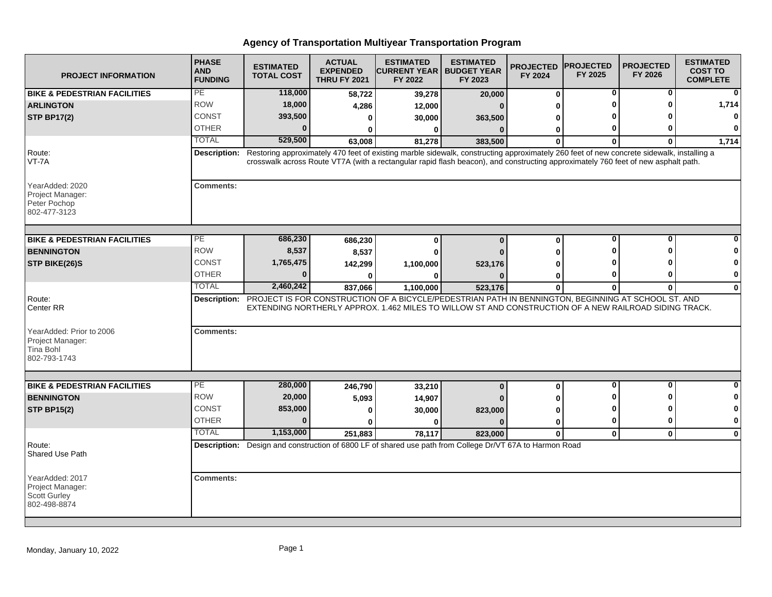| <b>PROJECT INFORMATION</b>                                          | <b>PHASE</b><br><b>AND</b><br><b>FUNDING</b> | <b>ESTIMATED</b><br><b>TOTAL COST</b> | <b>ACTUAL</b><br><b>EXPENDED</b><br><b>THRU FY 2021</b> | <b>ESTIMATED</b><br><b>CURRENT YEAR   BUDGET YEAR</b><br>FY 2022                                                                                                                                                                                                              | <b>ESTIMATED</b><br>FY 2023 | <b>PROJECTED</b><br>FY 2024 | <b>PROJECTED</b><br>FY 2025 | <b>PROJECTED</b><br>FY 2026 | <b>ESTIMATED</b><br><b>COST TO</b><br><b>COMPLETE</b> |
|---------------------------------------------------------------------|----------------------------------------------|---------------------------------------|---------------------------------------------------------|-------------------------------------------------------------------------------------------------------------------------------------------------------------------------------------------------------------------------------------------------------------------------------|-----------------------------|-----------------------------|-----------------------------|-----------------------------|-------------------------------------------------------|
| <b>BIKE &amp; PEDESTRIAN FACILITIES</b>                             | PE                                           | 118,000                               | 58,722                                                  | 39,278                                                                                                                                                                                                                                                                        | 20,000                      | $\mathbf 0$                 | $\bf{0}$                    | 0                           |                                                       |
| <b>ARLINGTON</b>                                                    | <b>ROW</b>                                   | 18,000                                | 4,286                                                   | 12,000                                                                                                                                                                                                                                                                        |                             | U                           | ŋ                           | ŋ                           | 1,714                                                 |
| <b>STP BP17(2)</b>                                                  | <b>CONST</b>                                 | 393,500                               | 0                                                       | 30,000                                                                                                                                                                                                                                                                        | 363,500                     | U                           |                             |                             | $\mathbf 0$                                           |
|                                                                     | <b>OTHER</b>                                 | $\bf{0}$                              | $\mathbf{0}$                                            | $\bf{0}$                                                                                                                                                                                                                                                                      | $\Omega$                    | U                           | 0                           | 0                           | $\Omega$                                              |
|                                                                     | <b>TOTAL</b>                                 | 529,500                               | 63,008                                                  | 81,278                                                                                                                                                                                                                                                                        | 383,500                     | <sup>0</sup>                | $\mathbf{0}$                | $\Omega$                    | 1,714                                                 |
| Route:<br>VT-7A                                                     | Description:                                 |                                       |                                                         | Restoring approximately 470 feet of existing marble sidewalk, constructing approximately 260 feet of new concrete sidewalk, installing a<br>crosswalk across Route VT7A (with a rectangular rapid flash beacon), and constructing approximately 760 feet of new asphalt path. |                             |                             |                             |                             |                                                       |
| YearAdded: 2020<br>Project Manager:<br>Peter Pochop<br>802-477-3123 | <b>Comments:</b>                             |                                       |                                                         |                                                                                                                                                                                                                                                                               |                             |                             |                             |                             |                                                       |
| <b>BIKE &amp; PEDESTRIAN FACILITIES</b>                             | PE                                           | 686,230                               |                                                         | $\bf{0}$                                                                                                                                                                                                                                                                      | $\Omega$                    | $\mathbf 0$                 | 0                           | 0                           |                                                       |
| <b>BENNINGTON</b>                                                   | <b>ROW</b>                                   | 8,537                                 | 686,230<br>8,537                                        | $\bf{0}$                                                                                                                                                                                                                                                                      |                             | O                           |                             | Λ                           |                                                       |
| STP BIKE(26)S                                                       | <b>CONST</b>                                 | 1,765,475                             |                                                         |                                                                                                                                                                                                                                                                               |                             |                             |                             |                             |                                                       |
|                                                                     | <b>OTHER</b>                                 | $\Omega$                              | 142,299                                                 | 1,100,000                                                                                                                                                                                                                                                                     | 523,176                     |                             | ŋ                           | ŋ                           | 0                                                     |
|                                                                     | <b>TOTAL</b>                                 | 2,460,242                             | 837,066                                                 | 0<br>1,100,000                                                                                                                                                                                                                                                                | 523,176                     | 0<br>$\bf{0}$               | $\mathbf 0$                 | 0                           | $\bf{0}$                                              |
| Route:<br>Center RR<br>YearAdded: Prior to 2006<br>Project Manager: | <b>Description:</b><br><b>Comments:</b>      |                                       |                                                         | PROJECT IS FOR CONSTRUCTION OF A BICYCLE/PEDESTRIAN PATH IN BENNINGTON, BEGINNING AT SCHOOL ST. AND<br>EXTENDING NORTHERLY APPROX. 1.462 MILES TO WILLOW ST AND CONSTRUCTION OF A NEW RAILROAD SIDING TRACK.                                                                  |                             |                             |                             |                             |                                                       |
| <b>Tina Bohl</b><br>802-793-1743                                    | PE                                           |                                       |                                                         |                                                                                                                                                                                                                                                                               |                             |                             | 0                           | 0                           | ŋ                                                     |
| <b>BIKE &amp; PEDESTRIAN FACILITIES</b>                             |                                              | 280,000                               | 246,790                                                 | 33,210                                                                                                                                                                                                                                                                        | $\bf{0}$                    | $\mathbf 0$                 |                             | ŋ                           |                                                       |
| <b>BENNINGTON</b>                                                   | <b>ROW</b>                                   | 20,000                                | 5,093                                                   | 14,907                                                                                                                                                                                                                                                                        |                             |                             | O                           | ŋ                           | O<br>$\mathbf 0$                                      |
| <b>STP BP15(2)</b>                                                  | <b>CONST</b>                                 | 853,000<br>$\bf{0}$                   | 0                                                       | 30,000                                                                                                                                                                                                                                                                        | 823,000                     | 0                           |                             |                             | $\mathbf 0$                                           |
|                                                                     | <b>OTHER</b>                                 |                                       |                                                         | U                                                                                                                                                                                                                                                                             |                             | 0                           | 0                           | 0                           |                                                       |
|                                                                     | <b>TOTAL</b>                                 | 1,153,000                             | 251,883                                                 | 78.117                                                                                                                                                                                                                                                                        | 823,000                     | $\mathbf{0}$                | $\mathbf{0}$                | $\mathbf{0}$                | $\bf{0}$                                              |
| Route:<br>Shared Use Path                                           |                                              |                                       |                                                         | Description: Design and construction of 6800 LF of shared use path from College Dr/VT 67A to Harmon Road                                                                                                                                                                      |                             |                             |                             |                             |                                                       |
| YearAdded: 2017<br>Project Manager:<br>Scott Gurley<br>802-498-8874 | <b>Comments:</b>                             |                                       |                                                         |                                                                                                                                                                                                                                                                               |                             |                             |                             |                             |                                                       |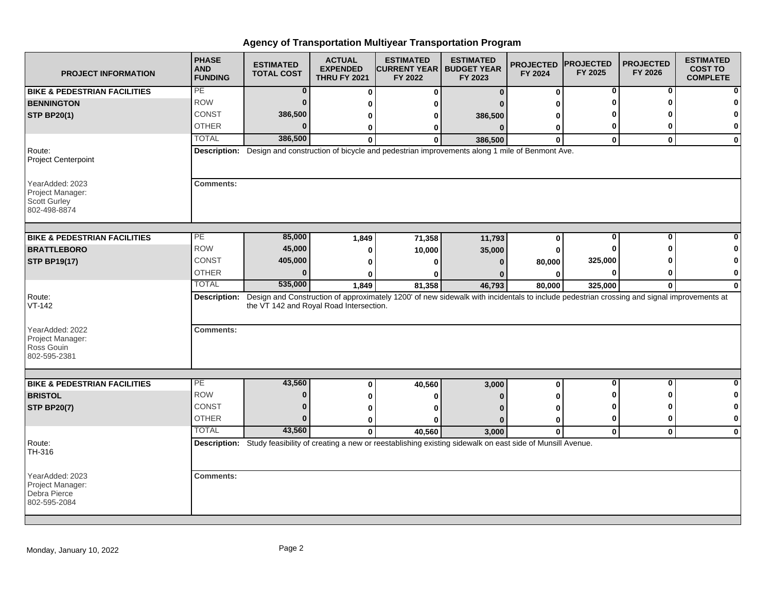| <b>PROJECT INFORMATION</b>                                                 | <b>PHASE</b><br><b>AND</b><br><b>FUNDING</b> | <b>ESTIMATED</b><br><b>TOTAL COST</b>   | <b>ACTUAL</b><br><b>EXPENDED</b><br><b>THRU FY 2021</b> | <b>ESTIMATED</b><br><b>CURRENT YEAR   BUDGET YEAR</b><br>FY 2022                                                                                       | <b>ESTIMATED</b><br>FY 2023 | <b>PROJECTED</b><br>FY 2024 | <b>PROJECTED</b><br>FY 2025 | <b>PROJECTED</b><br>FY 2026 | <b>ESTIMATED</b><br><b>COST TO</b><br><b>COMPLETE</b> |
|----------------------------------------------------------------------------|----------------------------------------------|-----------------------------------------|---------------------------------------------------------|--------------------------------------------------------------------------------------------------------------------------------------------------------|-----------------------------|-----------------------------|-----------------------------|-----------------------------|-------------------------------------------------------|
| <b>BIKE &amp; PEDESTRIAN FACILITIES</b>                                    | PE                                           | $\bf{0}$                                | $\bf{0}$                                                | $\bf{0}$                                                                                                                                               | $\Omega$                    | $\bf{0}$                    | 0                           | 0                           |                                                       |
| <b>BENNINGTON</b>                                                          | <b>ROW</b>                                   | $\bf{0}$                                | ŋ                                                       | ŋ                                                                                                                                                      |                             | ŋ                           |                             | ŋ                           |                                                       |
| <b>STP BP20(1)</b>                                                         | CONST                                        | 386,500                                 | 0                                                       | 0                                                                                                                                                      | 386,500                     | 0                           |                             |                             |                                                       |
|                                                                            | <b>OTHER</b>                                 | $\bf{0}$                                | 0                                                       | 0                                                                                                                                                      | $\bf{0}$                    | 0                           | 0                           | ŋ                           | 0                                                     |
|                                                                            | <b>TOTAL</b>                                 | 386,500                                 | $\bf{0}$                                                | $\Omega$                                                                                                                                               | 386,500                     | $\mathbf{0}$                | $\mathbf 0$                 | $\mathbf{0}$                | $\mathbf{0}$                                          |
| Route:<br><b>Project Centerpoint</b>                                       |                                              |                                         |                                                         | Description: Design and construction of bicycle and pedestrian improvements along 1 mile of Benmont Ave.                                               |                             |                             |                             |                             |                                                       |
| YearAdded: 2023<br>Project Manager:<br><b>Scott Gurley</b><br>802-498-8874 | <b>Comments:</b>                             |                                         |                                                         |                                                                                                                                                        |                             |                             |                             |                             |                                                       |
| <b>BIKE &amp; PEDESTRIAN FACILITIES</b>                                    | PE                                           | 85,000                                  |                                                         |                                                                                                                                                        |                             |                             | 0                           | 0                           |                                                       |
| <b>BRATTLEBORO</b>                                                         | <b>ROW</b>                                   | 45,000                                  | 1,849                                                   | 71,358                                                                                                                                                 | 11,793                      | 0                           | Ω                           |                             |                                                       |
| <b>STP BP19(17)</b>                                                        | <b>CONST</b>                                 | 405,000                                 | 0<br>n                                                  | 10,000<br>$\Omega$                                                                                                                                     | 35,000<br>$\Omega$          | 0<br>80,000                 | 325,000                     |                             |                                                       |
|                                                                            | <b>OTHER</b>                                 | $\bf{0}$                                |                                                         |                                                                                                                                                        |                             |                             | 0                           | ŋ                           | 0                                                     |
|                                                                            | <b>TOTAL</b>                                 | 535,000                                 | 0<br>1,849                                              | 0<br>81,358                                                                                                                                            | 46,793                      | 0<br>80,000                 | 325,000                     | $\bf{0}$                    | $\bf{0}$                                              |
| Route:<br>$VT-142$                                                         |                                              | the VT 142 and Royal Road Intersection. |                                                         | Description: Design and Construction of approximately 1200' of new sidewalk with incidentals to include pedestrian crossing and signal improvements at |                             |                             |                             |                             |                                                       |
| YearAdded: 2022<br>Project Manager:<br>Ross Gouin<br>802-595-2381          | <b>Comments:</b>                             |                                         |                                                         |                                                                                                                                                        |                             |                             |                             |                             |                                                       |
|                                                                            | $\overline{PE}$                              | 43,560                                  |                                                         |                                                                                                                                                        |                             |                             | 0                           | 0                           | <sup>0</sup>                                          |
| <b>BIKE &amp; PEDESTRIAN FACILITIES</b><br><b>BRISTOL</b>                  | <b>ROW</b>                                   | $\bf{0}$                                | 0                                                       | 40,560                                                                                                                                                 | 3,000                       | 0                           |                             | ŋ                           | 0                                                     |
| <b>STP BP20(7)</b>                                                         | <b>CONST</b>                                 | $\bf{0}$                                | 0                                                       | 0                                                                                                                                                      |                             | ŋ                           | 0                           | ŋ                           | 0                                                     |
|                                                                            | <b>OTHER</b>                                 | $\bf{0}$                                | 0                                                       | O                                                                                                                                                      |                             | 0                           | 0                           | 0                           | $\bf{0}$                                              |
|                                                                            | <b>TOTAL</b>                                 | 43.560                                  | $\bf{0}$                                                | O                                                                                                                                                      | $\Omega$                    | $\bf{0}$                    |                             |                             |                                                       |
| Route:<br>TH-316                                                           |                                              |                                         | $\mathbf{0}$                                            | 40,560<br>Description: Study feasibility of creating a new or reestablishing existing sidewalk on east side of Munsill Avenue.                         | 3,000                       | $\mathbf{0}$                | $\mathbf 0$                 | $\mathbf 0$                 | $\mathbf{0}$                                          |
| YearAdded: 2023<br>Project Manager:<br>Debra Pierce<br>802-595-2084        | <b>Comments:</b>                             |                                         |                                                         |                                                                                                                                                        |                             |                             |                             |                             |                                                       |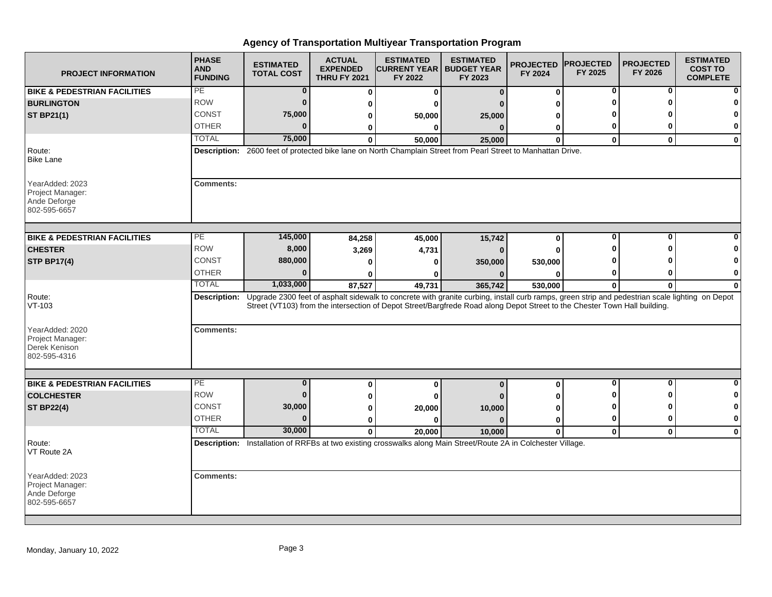| <b>PROJECT INFORMATION</b>                                           | <b>PHASE</b><br><b>AND</b><br><b>FUNDING</b> | <b>ESTIMATED</b><br><b>TOTAL COST</b> | <b>ACTUAL</b><br><b>EXPENDED</b><br><b>THRU FY 2021</b> | <b>ESTIMATED</b><br><b>ICURRENT YEAR I BUDGET YEAR</b><br>FY 2022 | <b>ESTIMATED</b><br>FY 2023                                                                                                                                                                                                                                                              | <b>PROJECTED</b><br>FY 2024 | <b>IPROJECTED</b><br>FY 2025 | <b>PROJECTED</b><br>FY 2026 | <b>ESTIMATED</b><br><b>COST TO</b><br><b>COMPLETE</b> |
|----------------------------------------------------------------------|----------------------------------------------|---------------------------------------|---------------------------------------------------------|-------------------------------------------------------------------|------------------------------------------------------------------------------------------------------------------------------------------------------------------------------------------------------------------------------------------------------------------------------------------|-----------------------------|------------------------------|-----------------------------|-------------------------------------------------------|
| <b>BIKE &amp; PEDESTRIAN FACILITIES</b>                              | $\overline{PE}$                              | $\bf{0}$                              | 0                                                       | $\mathbf 0$                                                       | $\bf{0}$                                                                                                                                                                                                                                                                                 | 0                           | 0                            | 0                           |                                                       |
| <b>BURLINGTON</b>                                                    | <b>ROW</b>                                   | $\bf{0}$                              | 0                                                       | ŋ                                                                 |                                                                                                                                                                                                                                                                                          | 0                           | ŋ                            | ŋ                           |                                                       |
| <b>ST BP21(1)</b>                                                    | CONST                                        | 75,000                                | 0                                                       | 50,000                                                            | 25,000                                                                                                                                                                                                                                                                                   | ŋ                           |                              |                             |                                                       |
|                                                                      | <b>OTHER</b>                                 | $\Omega$                              | 0                                                       | $\bf{0}$                                                          | $\bf{0}$                                                                                                                                                                                                                                                                                 | 0                           | 0                            | 0                           | 0                                                     |
|                                                                      | <b>TOTAL</b>                                 | 75,000                                | $\Omega$                                                | 50,000                                                            | 25,000                                                                                                                                                                                                                                                                                   | $\mathbf{0}$                | $\mathbf{0}$                 | $\mathbf{0}$                | $\mathbf{0}$                                          |
| Route:<br><b>Bike Lane</b>                                           |                                              |                                       |                                                         |                                                                   | Description: 2600 feet of protected bike lane on North Champlain Street from Pearl Street to Manhattan Drive.                                                                                                                                                                            |                             |                              |                             |                                                       |
| YearAdded: 2023<br>Project Manager:<br>Ande Deforge<br>802-595-6657  | <b>Comments:</b>                             |                                       |                                                         |                                                                   |                                                                                                                                                                                                                                                                                          |                             |                              |                             |                                                       |
| <b>BIKE &amp; PEDESTRIAN FACILITIES</b>                              | PЕ                                           | 145,000                               | 84,258                                                  | 45,000                                                            | 15,742                                                                                                                                                                                                                                                                                   | 0                           | 0                            | 0                           |                                                       |
| <b>CHESTER</b>                                                       | <b>ROW</b>                                   | 8,000                                 | 3,269                                                   | 4,731                                                             | $\Omega$                                                                                                                                                                                                                                                                                 | $\bf{0}$                    |                              | ŋ                           |                                                       |
| <b>STP BP17(4)</b>                                                   | CONST                                        | 880,000                               | $\bf{0}$                                                | 0                                                                 | 350,000                                                                                                                                                                                                                                                                                  | 530,000                     |                              |                             |                                                       |
|                                                                      | <b>OTHER</b>                                 | $\Omega$                              | ŋ                                                       | n                                                                 |                                                                                                                                                                                                                                                                                          | O                           | 0                            | ŋ                           | 0                                                     |
|                                                                      | <b>TOTAL</b>                                 | 1,033,000                             | 87,527                                                  | 49,731                                                            | 365,742                                                                                                                                                                                                                                                                                  | 530,000                     | 0                            | $\bf{0}$                    | $\bf{0}$                                              |
| Route:<br>$VT-103$                                                   |                                              |                                       |                                                         |                                                                   | Description: Upgrade 2300 feet of asphalt sidewalk to concrete with granite curbing, install curb ramps, green strip and pedestrian scale lighting on Depot<br>Street (VT103) from the intersection of Depot Street/Bargfrede Road along Depot Street to the Chester Town Hall building. |                             |                              |                             |                                                       |
| YearAdded: 2020<br>Project Manager:<br>Derek Kenison<br>802-595-4316 | <b>Comments:</b>                             |                                       |                                                         |                                                                   |                                                                                                                                                                                                                                                                                          |                             |                              |                             |                                                       |
|                                                                      |                                              |                                       |                                                         |                                                                   |                                                                                                                                                                                                                                                                                          |                             |                              |                             |                                                       |
| <b>BIKE &amp; PEDESTRIAN FACILITIES</b>                              | PE                                           | $\bf{0}$                              | 0                                                       | 0                                                                 | $\Omega$                                                                                                                                                                                                                                                                                 | 0                           | $\mathbf 0$                  | $\mathbf{0}$                | $\bf{0}$                                              |
| <b>COLCHESTER</b>                                                    | <b>ROW</b>                                   | $\bf{0}$                              | 0                                                       | 0                                                                 |                                                                                                                                                                                                                                                                                          | ŋ                           | ŋ                            | ŋ                           | 0                                                     |
| <b>ST BP22(4)</b>                                                    | CONST                                        | 30,000                                | 0                                                       | 20,000                                                            | 10,000                                                                                                                                                                                                                                                                                   | 0                           | O                            | ŋ                           | $\mathbf 0$                                           |
|                                                                      | <b>OTHER</b>                                 | $\Omega$                              | 0                                                       | $\bf{0}$                                                          | $\Omega$                                                                                                                                                                                                                                                                                 | 0                           | 0                            | 0                           | 0                                                     |
|                                                                      | <b>TOTAL</b>                                 | 30,000                                | $\mathbf{0}$                                            | 20.000                                                            | 10,000                                                                                                                                                                                                                                                                                   | $\mathbf{0}$                | $\mathbf 0$                  | $\mathbf{0}$                | $\bf{0}$                                              |
| Route:<br>VT Route 2A                                                |                                              |                                       |                                                         |                                                                   | Description: Installation of RRFBs at two existing crosswalks along Main Street/Route 2A in Colchester Village.                                                                                                                                                                          |                             |                              |                             |                                                       |
| YearAdded: 2023<br>Project Manager:<br>Ande Deforge<br>802-595-6657  | <b>Comments:</b>                             |                                       |                                                         |                                                                   |                                                                                                                                                                                                                                                                                          |                             |                              |                             |                                                       |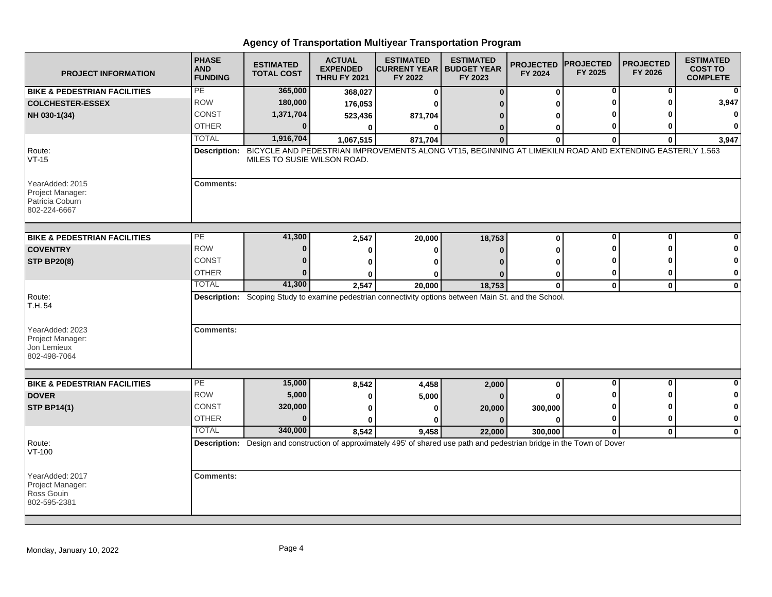| <b>PROJECT INFORMATION</b>                                             | <b>PHASE</b><br><b>AND</b><br><b>FUNDING</b> | <b>ESTIMATED</b><br><b>TOTAL COST</b> | <b>ACTUAL</b><br><b>EXPENDED</b><br><b>THRU FY 2021</b> | <b>ESTIMATED</b><br><b>ICURRENT YEAR I BUDGET YEAR</b><br>FY 2022                                                        | <b>ESTIMATED</b><br>FY 2023 | <b>PROJECTED</b><br>FY 2024 | <b>PROJECTED</b><br>FY 2025  | <b>PROJECTED</b><br>FY 2026 | <b>ESTIMATED</b><br><b>COST TO</b><br><b>COMPLETE</b> |
|------------------------------------------------------------------------|----------------------------------------------|---------------------------------------|---------------------------------------------------------|--------------------------------------------------------------------------------------------------------------------------|-----------------------------|-----------------------------|------------------------------|-----------------------------|-------------------------------------------------------|
| <b>BIKE &amp; PEDESTRIAN FACILITIES</b>                                | PE                                           | 365,000                               | 368,027                                                 | 0                                                                                                                        | $\bf{0}$                    | 0                           | 0                            | 0                           | $\bf{0}$                                              |
| <b>COLCHESTER-ESSEX</b>                                                | <b>ROW</b>                                   | 180,000                               | 176,053                                                 | ŋ                                                                                                                        |                             | ŋ                           | O                            | O                           | 3,947                                                 |
| NH 030-1(34)                                                           | <b>CONST</b>                                 | 1,371,704                             | 523,436                                                 | 871,704                                                                                                                  | n                           | 0                           |                              |                             | 0                                                     |
|                                                                        | <b>OTHER</b>                                 | $\Omega$                              | 0                                                       | 0                                                                                                                        | 0                           | 0                           | 0                            | ŋ                           | $\Omega$                                              |
|                                                                        | <b>TOTAL</b>                                 | 1,916,704                             | 1,067,515                                               | 871,704                                                                                                                  | $\Omega$                    | $\bf{0}$                    | $\bf{0}$                     | $\bf{0}$                    | 3,947                                                 |
| Route:<br>$VT-15$                                                      | Description:                                 | MILES TO SUSIE WILSON ROAD.           |                                                         | BICYCLE AND PEDESTRIAN IMPROVEMENTS ALONG VT15, BEGINNING AT LIMEKILN ROAD AND EXTENDING EASTERLY 1.563                  |                             |                             |                              |                             |                                                       |
| YearAdded: 2015<br>Project Manager:<br>Patricia Coburn<br>802-224-6667 | <b>Comments:</b>                             |                                       |                                                         |                                                                                                                          |                             |                             |                              |                             |                                                       |
| <b>BIKE &amp; PEDESTRIAN FACILITIES</b>                                | PE                                           | 41,300                                | 2,547                                                   | 20,000                                                                                                                   | 18,753                      | 0                           | 0                            | 0                           |                                                       |
| <b>COVENTRY</b>                                                        | <b>ROW</b>                                   | $\bf{0}$                              | $\mathbf 0$                                             | 0                                                                                                                        | $\Omega$                    | O                           | ŋ                            | ŋ                           |                                                       |
| <b>STP BP20(8)</b>                                                     | CONST                                        | $\Omega$                              | $\Omega$                                                | O                                                                                                                        |                             | ŋ                           | ŋ                            |                             | 0                                                     |
|                                                                        | <b>OTHER</b>                                 | $\Omega$                              | 0                                                       | o                                                                                                                        |                             | 0                           | 0                            | 0                           | 0                                                     |
|                                                                        | <b>TOTAL</b>                                 | 41,300                                | 2,547                                                   | 20,000                                                                                                                   | 18,753                      | $\mathbf 0$                 | $\mathbf 0$                  | $\mathbf 0$                 | $\mathbf 0$                                           |
| Route:<br>T.H. 54                                                      |                                              |                                       |                                                         | Description: Scoping Study to examine pedestrian connectivity options between Main St. and the School.                   |                             |                             |                              |                             |                                                       |
| YearAdded: 2023<br>Project Manager:<br>Jon Lemieux<br>802-498-7064     | <b>Comments:</b>                             |                                       |                                                         |                                                                                                                          |                             |                             |                              |                             |                                                       |
|                                                                        | PE                                           |                                       |                                                         |                                                                                                                          |                             |                             |                              |                             |                                                       |
| <b>BIKE &amp; PEDESTRIAN FACILITIES</b>                                | <b>ROW</b>                                   | 15,000<br>5,000                       | 8,542                                                   | 4,458                                                                                                                    | 2,000                       | 0                           | $\overline{\mathbf{0}}$<br>n | $\mathbf 0$<br>ŋ            | $\bf{0}$                                              |
| <b>DOVER</b>                                                           |                                              |                                       | 0                                                       | 5,000                                                                                                                    |                             |                             |                              |                             | 0                                                     |
| <b>STP BP14(1)</b>                                                     | CONST                                        | 320,000<br>$\bf{0}$                   | 0                                                       | 0                                                                                                                        | 20,000                      | 300,000                     | 0                            | ŋ                           | 0                                                     |
|                                                                        | <b>OTHER</b>                                 |                                       | $\mathbf{0}$                                            | ŋ                                                                                                                        | $\Omega$                    | $\Omega$                    | 0                            | $\bf{0}$                    | $\mathbf 0$                                           |
|                                                                        | <b>TOTAL</b>                                 | 340,000                               | 8,542                                                   | 9,458                                                                                                                    | 22,000                      | 300,000                     | $\mathbf 0$                  | $\mathbf 0$                 | $\mathbf 0$                                           |
| Route:<br>VT-100                                                       |                                              |                                       |                                                         | Description: Design and construction of approximately 495' of shared use path and pedestrian bridge in the Town of Dover |                             |                             |                              |                             |                                                       |
| YearAdded: 2017<br>Project Manager:<br>Ross Gouin<br>802-595-2381      | <b>Comments:</b>                             |                                       |                                                         |                                                                                                                          |                             |                             |                              |                             |                                                       |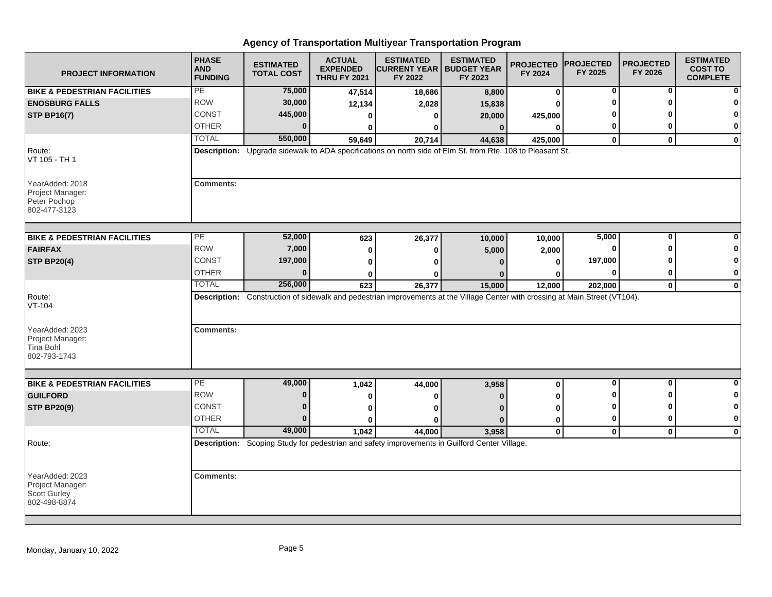| <b>PROJECT INFORMATION</b>                                                 | <b>PHASE</b><br><b>AND</b><br><b>FUNDING</b> | <b>ESTIMATED</b><br><b>TOTAL COST</b> | <b>ACTUAL</b><br><b>EXPENDED</b><br><b>THRU FY 2021</b> | <b>ESTIMATED</b><br><b>CURRENT YEAR   BUDGET YEAR</b><br>FY 2022 | <b>ESTIMATED</b><br>FY 2023                                                                                                   | <b>PROJECTED</b><br>FY 2024 | <b>PROJECTED</b><br>FY 2025 | <b>PROJECTED</b><br>FY 2026 | <b>ESTIMATED</b><br><b>COST TO</b><br><b>COMPLETE</b> |
|----------------------------------------------------------------------------|----------------------------------------------|---------------------------------------|---------------------------------------------------------|------------------------------------------------------------------|-------------------------------------------------------------------------------------------------------------------------------|-----------------------------|-----------------------------|-----------------------------|-------------------------------------------------------|
| <b>BIKE &amp; PEDESTRIAN FACILITIES</b>                                    | PE                                           | 75,000                                | 47,514                                                  | 18,686                                                           | 8,800                                                                                                                         | $\bf{0}$                    | 0                           | 0                           |                                                       |
| <b>ENOSBURG FALLS</b>                                                      | <b>ROW</b>                                   | 30,000                                | 12,134                                                  | 2,028                                                            | 15,838                                                                                                                        | 0                           | ŋ                           | ŋ                           |                                                       |
| <b>STP BP16(7)</b>                                                         | CONST                                        | 445,000                               | 0                                                       | 0                                                                | 20,000                                                                                                                        | 425,000                     |                             |                             |                                                       |
|                                                                            | <b>OTHER</b>                                 | $\bf{0}$                              | $\mathbf{0}$                                            | 0                                                                | $\bf{0}$                                                                                                                      | $\bf{0}$                    | 0                           | 0                           | 0                                                     |
|                                                                            | <b>TOTAL</b>                                 | 550,000                               | 59,649                                                  | 20,714                                                           | 44,638                                                                                                                        | 425,000                     | $\mathbf{0}$                | $\mathbf{0}$                | $\mathbf{0}$                                          |
| Route:<br>VT 105 - TH 1                                                    |                                              |                                       |                                                         |                                                                  | Description: Upgrade sidewalk to ADA specifications on north side of Elm St. from Rte. 108 to Pleasant St.                    |                             |                             |                             |                                                       |
| YearAdded: 2018<br>Project Manager:<br>Peter Pochop<br>802-477-3123        | <b>Comments:</b>                             |                                       |                                                         |                                                                  |                                                                                                                               |                             |                             |                             |                                                       |
| <b>BIKE &amp; PEDESTRIAN FACILITIES</b>                                    | PE                                           | 52,000                                | 623                                                     | 26,377                                                           | 10,000                                                                                                                        | 10,000                      | 5,000                       | 0                           |                                                       |
| <b>FAIRFAX</b>                                                             | <b>ROW</b>                                   | 7,000                                 | $\bf{0}$                                                | $\bf{0}$                                                         | 5,000                                                                                                                         | 2,000                       | 0                           | ŋ                           | n                                                     |
| <b>STP BP20(4)</b>                                                         | <b>CONST</b>                                 | 197,000                               | 0                                                       | ŋ                                                                |                                                                                                                               | $\Omega$                    | 197,000                     |                             | 0                                                     |
|                                                                            | <b>OTHER</b>                                 | $\mathbf{0}$                          | 0                                                       | n                                                                |                                                                                                                               | ŋ                           | 0                           | 0                           | 0                                                     |
|                                                                            | <b>TOTAL</b>                                 | 256,000                               | 623                                                     | 26,377                                                           | 15,000                                                                                                                        | 12,000                      | 202,000                     | $\mathbf 0$                 | $\mathbf 0$                                           |
| Route:<br>$VT-104$                                                         |                                              |                                       |                                                         |                                                                  | Description: Construction of sidewalk and pedestrian improvements at the Village Center with crossing at Main Street (VT104). |                             |                             |                             |                                                       |
| YearAdded: 2023<br>Project Manager:<br>Tina Bohl<br>802-793-1743           | <b>Comments:</b>                             |                                       |                                                         |                                                                  |                                                                                                                               |                             |                             |                             |                                                       |
| <b>BIKE &amp; PEDESTRIAN FACILITIES</b>                                    | PE                                           | 49,000                                | 1,042                                                   | 44,000                                                           | 3,958                                                                                                                         | $\bf{0}$                    | $\mathbf 0$                 | $\mathbf{0}$                | $\bf{0}$                                              |
| <b>GUILFORD</b>                                                            | <b>ROW</b>                                   | $\bf{0}$                              | 0                                                       | 0                                                                |                                                                                                                               | O                           | O                           | ŋ                           | 0                                                     |
| <b>STP BP20(9)</b>                                                         | <b>CONST</b>                                 | $\bf{0}$                              | 0                                                       | ŋ                                                                |                                                                                                                               | 0                           | O                           | ŋ                           | 0                                                     |
|                                                                            | <b>OTHER</b>                                 | $\bf{0}$                              | 0                                                       | $\bf{0}$                                                         | n                                                                                                                             | 0                           | 0                           | 0                           | $\bf{0}$                                              |
|                                                                            | <b>TOTAL</b>                                 | 49,000                                | 1.042                                                   | 44,000                                                           | 3.958                                                                                                                         | $\mathbf 0$                 | $\mathbf 0$                 | $\mathbf 0$                 | $\mathbf 0$                                           |
| Route:                                                                     |                                              |                                       |                                                         |                                                                  | Description: Scoping Study for pedestrian and safety improvements in Guilford Center Village.                                 |                             |                             |                             |                                                       |
| YearAdded: 2023<br>Project Manager:<br><b>Scott Gurley</b><br>802-498-8874 | <b>Comments:</b>                             |                                       |                                                         |                                                                  |                                                                                                                               |                             |                             |                             |                                                       |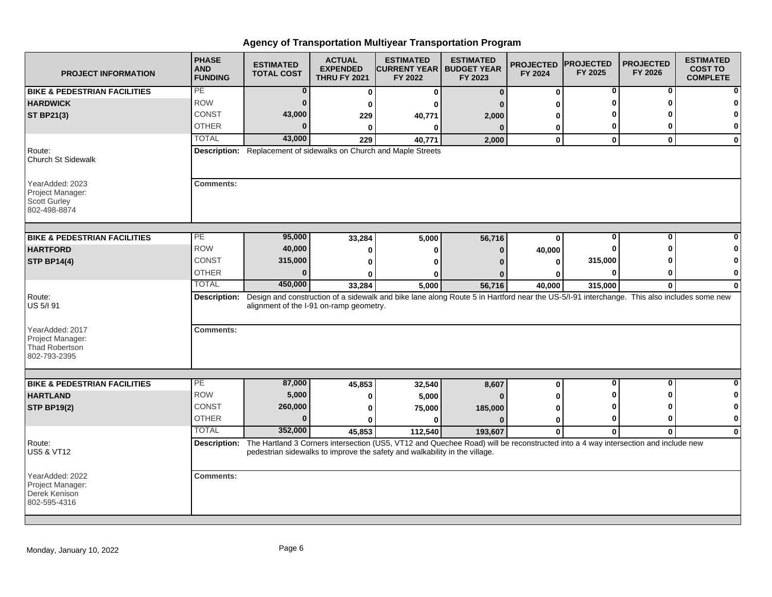| <b>PROJECT INFORMATION</b>                                                   | <b>PHASE</b><br><b>AND</b><br><b>FUNDING</b> | <b>ESTIMATED</b><br><b>TOTAL COST</b>   | <b>ACTUAL</b><br><b>EXPENDED</b><br><b>THRU FY 2021</b> | <b>ESTIMATED</b><br><b>ICURRENT YEAR I BUDGET YEAR</b><br>FY 2022          | <b>ESTIMATED</b><br>FY 2023                                                                                                                            | <b>PROJECTED</b><br>FY 2024 | <b>IPROJECTED</b><br>FY 2025 | <b>PROJECTED</b><br>FY 2026 | <b>ESTIMATED</b><br><b>COST TO</b><br><b>COMPLETE</b> |
|------------------------------------------------------------------------------|----------------------------------------------|-----------------------------------------|---------------------------------------------------------|----------------------------------------------------------------------------|--------------------------------------------------------------------------------------------------------------------------------------------------------|-----------------------------|------------------------------|-----------------------------|-------------------------------------------------------|
| <b>BIKE &amp; PEDESTRIAN FACILITIES</b>                                      | PE                                           | 0                                       | 0                                                       | 0                                                                          | $\bf{0}$                                                                                                                                               | 0                           | 0                            | 0                           |                                                       |
| <b>HARDWICK</b>                                                              | <b>ROW</b>                                   | $\bf{0}$                                | 0                                                       | ŋ                                                                          |                                                                                                                                                        | U                           | ŋ                            | ŋ                           |                                                       |
| <b>ST BP21(3)</b>                                                            | <b>CONST</b>                                 | 43,000                                  | 229                                                     | 40,771                                                                     | 2,000                                                                                                                                                  | U                           |                              |                             |                                                       |
|                                                                              | <b>OTHER</b>                                 | $\Omega$                                | $\mathbf{0}$                                            | $\bf{0}$                                                                   | $\Omega$                                                                                                                                               | 0                           | 0                            | ŋ                           | $\bf{0}$                                              |
|                                                                              | <b>TOTAL</b>                                 | 43,000                                  | 229                                                     | 40,771                                                                     | 2,000                                                                                                                                                  | 0                           | $\mathbf{0}$                 | $\mathbf{0}$                | $\mathbf{0}$                                          |
| Route:<br><b>Church St Sidewalk</b>                                          |                                              |                                         |                                                         | Description: Replacement of sidewalks on Church and Maple Streets          |                                                                                                                                                        |                             |                              |                             |                                                       |
| YearAdded: 2023<br>Project Manager:<br><b>Scott Gurley</b><br>802-498-8874   | <b>Comments:</b>                             |                                         |                                                         |                                                                            |                                                                                                                                                        |                             |                              |                             |                                                       |
| <b>BIKE &amp; PEDESTRIAN FACILITIES</b>                                      | PЕ                                           | 95,000                                  | 33,284                                                  | 5,000                                                                      | 56,716                                                                                                                                                 | $\bf{0}$                    | 0                            | $\bf{0}$                    |                                                       |
| <b>HARTFORD</b>                                                              | <b>ROW</b>                                   | 40,000                                  | 0                                                       | 0                                                                          | O                                                                                                                                                      | 40,000                      | O                            | n                           |                                                       |
| <b>STP BP14(4)</b>                                                           | CONST                                        | 315,000                                 | 0                                                       | ŋ                                                                          |                                                                                                                                                        | 0                           | 315,000                      |                             |                                                       |
|                                                                              | <b>OTHER</b>                                 | $\Omega$                                | U                                                       |                                                                            |                                                                                                                                                        | ŋ                           | 0                            | 0                           | 0                                                     |
|                                                                              | <b>TOTAL</b>                                 | 450,000                                 | 33,284                                                  | 5,000                                                                      | 56,716                                                                                                                                                 | 40,000                      | 315,000                      | $\bf{0}$                    | $\bf{0}$                                              |
| Route:<br>US 5/I 91                                                          |                                              | alignment of the I-91 on-ramp geometry. |                                                         |                                                                            | Description: Design and construction of a sidewalk and bike lane along Route 5 in Hartford near the US-5/l-91 interchange. This also includes some new |                             |                              |                             |                                                       |
| YearAdded: 2017<br>Project Manager:<br><b>Thad Robertson</b><br>802-793-2395 | <b>Comments:</b>                             |                                         |                                                         |                                                                            |                                                                                                                                                        |                             |                              |                             |                                                       |
| <b>BIKE &amp; PEDESTRIAN FACILITIES</b>                                      | $\overline{PE}$                              | 87,000                                  |                                                         |                                                                            |                                                                                                                                                        |                             | 0                            | 0                           | <sup>0</sup>                                          |
| <b>HARTLAND</b>                                                              | <b>ROW</b>                                   | 5,000                                   | 45,853                                                  | 32,540                                                                     | 8,607                                                                                                                                                  | 0<br>U                      |                              | ŋ                           | 0                                                     |
| <b>STP BP19(2)</b>                                                           | CONST                                        | 260,000                                 | 0<br>0                                                  | 5,000<br>75,000                                                            | 185,000                                                                                                                                                | O                           | ŋ                            |                             |                                                       |
|                                                                              | <b>OTHER</b>                                 | $\bf{0}$                                | 0                                                       | 0                                                                          | n                                                                                                                                                      | 0                           | 0                            | $\bf{0}$                    | $\mathbf 0$                                           |
|                                                                              | <b>TOTAL</b>                                 | 352,000                                 | 45,853                                                  | 112,540                                                                    | 193,607                                                                                                                                                | $\mathbf{0}$                | $\bf{0}$                     | $\mathbf{0}$                | $\bf{0}$                                              |
| Route:                                                                       |                                              |                                         |                                                         |                                                                            | Description: The Hartland 3 Corners intersection (US5, VT12 and Quechee Road) will be reconstructed into a 4 way intersection and include new          |                             |                              |                             |                                                       |
| <b>US5 &amp; VT12</b>                                                        |                                              |                                         |                                                         | pedestrian sidewalks to improve the safety and walkability in the village. |                                                                                                                                                        |                             |                              |                             |                                                       |
| YearAdded: 2022<br>Project Manager:<br>Derek Kenison<br>802-595-4316         | <b>Comments:</b>                             |                                         |                                                         |                                                                            |                                                                                                                                                        |                             |                              |                             |                                                       |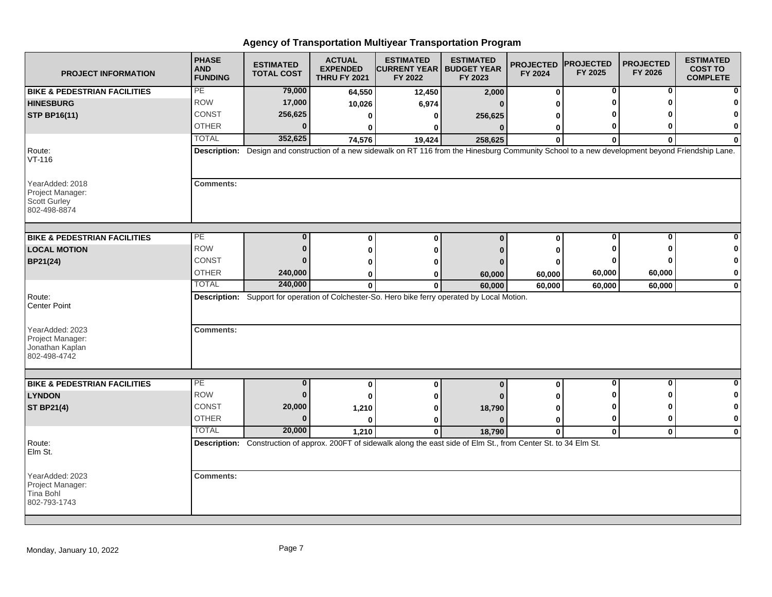| <b>PROJECT INFORMATION</b>                                                 | <b>PHASE</b><br><b>AND</b><br><b>FUNDING</b> | <b>ESTIMATED</b><br><b>TOTAL COST</b> | <b>ACTUAL</b><br><b>EXPENDED</b><br><b>THRU FY 2021</b> | <b>ESTIMATED</b><br><b>CURRENT YEAR   BUDGET YEAR</b><br>FY 2022                                                                                  | <b>ESTIMATED</b><br>FY 2023 | <b>PROJECTED</b><br>FY 2024 | <b>PROJECTED</b><br>FY 2025 | <b>PROJECTED</b><br>FY 2026 | <b>ESTIMATED</b><br><b>COST TO</b><br><b>COMPLETE</b> |
|----------------------------------------------------------------------------|----------------------------------------------|---------------------------------------|---------------------------------------------------------|---------------------------------------------------------------------------------------------------------------------------------------------------|-----------------------------|-----------------------------|-----------------------------|-----------------------------|-------------------------------------------------------|
| <b>BIKE &amp; PEDESTRIAN FACILITIES</b>                                    | PE                                           | 79,000                                | 64,550                                                  | 12,450                                                                                                                                            | 2,000                       | $\bf{0}$                    | 0                           | 0                           | n                                                     |
| <b>HINESBURG</b>                                                           | <b>ROW</b>                                   | 17,000                                | 10,026                                                  | 6,974                                                                                                                                             | n                           | ŋ                           |                             | ŋ                           |                                                       |
| <b>STP BP16(11)</b>                                                        | <b>CONST</b>                                 | 256,625                               | 0                                                       | 0                                                                                                                                                 | 256,625                     | 0                           |                             |                             | n                                                     |
|                                                                            | <b>OTHER</b>                                 | $\bf{0}$                              | 0                                                       | 0                                                                                                                                                 | $\mathbf{0}$                | 0                           | 0                           | ŋ                           | 0                                                     |
|                                                                            | <b>TOTAL</b>                                 | 352,625                               | 74,576                                                  | 19,424                                                                                                                                            | 258,625                     | $\bf{0}$                    | $\bf{0}$                    | $\bf{0}$                    | $\bf{0}$                                              |
| Route:<br>$VT-116$                                                         |                                              |                                       |                                                         | Description: Design and construction of a new sidewalk on RT 116 from the Hinesburg Community School to a new development beyond Friendship Lane. |                             |                             |                             |                             |                                                       |
| YearAdded: 2018<br>Project Manager:<br><b>Scott Gurley</b><br>802-498-8874 | <b>Comments:</b>                             |                                       |                                                         |                                                                                                                                                   |                             |                             |                             |                             |                                                       |
| <b>BIKE &amp; PEDESTRIAN FACILITIES</b>                                    | PE                                           | $\mathbf{0}$                          | $\bf{0}$                                                | $\bf{0}$                                                                                                                                          | $\bf{0}$                    | $\bf{0}$                    | 0                           | 0                           |                                                       |
| <b>LOCAL MOTION</b>                                                        | <b>ROW</b>                                   | $\bf{0}$                              | 0                                                       | 0                                                                                                                                                 |                             | 0                           | ŋ                           | n                           |                                                       |
| BP21(24)                                                                   | CONST                                        | 0                                     | ŋ                                                       | 0                                                                                                                                                 |                             | 0                           |                             |                             | 0                                                     |
|                                                                            | <b>OTHER</b>                                 | 240,000                               | 0                                                       | 0                                                                                                                                                 | 60,000                      | 60,000                      | 60,000                      | 60,000                      | 0                                                     |
|                                                                            | <b>TOTAL</b>                                 | 240,000                               | $\mathbf{0}$                                            | $\bf{0}$                                                                                                                                          | 60,000                      | 60,000                      | 60,000                      | 60,000                      | $\mathbf 0$                                           |
| Route:<br><b>Center Point</b>                                              |                                              |                                       |                                                         | Description: Support for operation of Colchester-So. Hero bike ferry operated by Local Motion.                                                    |                             |                             |                             |                             |                                                       |
| YearAdded: 2023<br>Project Manager:<br>Jonathan Kaplan<br>802-498-4742     | <b>Comments:</b>                             |                                       |                                                         |                                                                                                                                                   |                             |                             |                             |                             |                                                       |
|                                                                            |                                              |                                       |                                                         |                                                                                                                                                   |                             |                             |                             |                             |                                                       |
| <b>BIKE &amp; PEDESTRIAN FACILITIES</b>                                    | PE                                           | $\bf{0}$                              | $\bf{0}$                                                | $\pmb{0}$                                                                                                                                         | $\mathbf{0}$                | 0                           | $\bf{0}$                    | $\bf{0}$                    | $\bf{0}$                                              |
| <b>LYNDON</b>                                                              | <b>ROW</b>                                   | $\bf{0}$                              | 0                                                       | 0                                                                                                                                                 |                             | 0                           | o                           | ŋ                           | 0                                                     |
| <b>ST BP21(4)</b>                                                          | <b>CONST</b>                                 | 20,000                                | 1,210                                                   | 0                                                                                                                                                 | 18,790                      | 0                           | n                           | ŋ                           | 0                                                     |
|                                                                            | <b>OTHER</b>                                 | $\bf{0}$                              | $\bf{0}$                                                | 0                                                                                                                                                 | $\mathbf{0}$                | 0                           | 0                           | 0                           | 0                                                     |
|                                                                            | <b>TOTAL</b>                                 | 20,000                                | 1.210                                                   | $\mathbf{0}$                                                                                                                                      | 18,790                      | $\mathbf{0}$                | $\mathbf{0}$                | $\mathbf{0}$                | $\mathbf 0$                                           |
| Route:<br>Elm St.                                                          |                                              |                                       |                                                         | Description: Construction of approx. 200FT of sidewalk along the east side of Elm St., from Center St. to 34 Elm St.                              |                             |                             |                             |                             |                                                       |
| YearAdded: 2023<br>Project Manager:<br>Tina Bohl<br>802-793-1743           | <b>Comments:</b>                             |                                       |                                                         |                                                                                                                                                   |                             |                             |                             |                             |                                                       |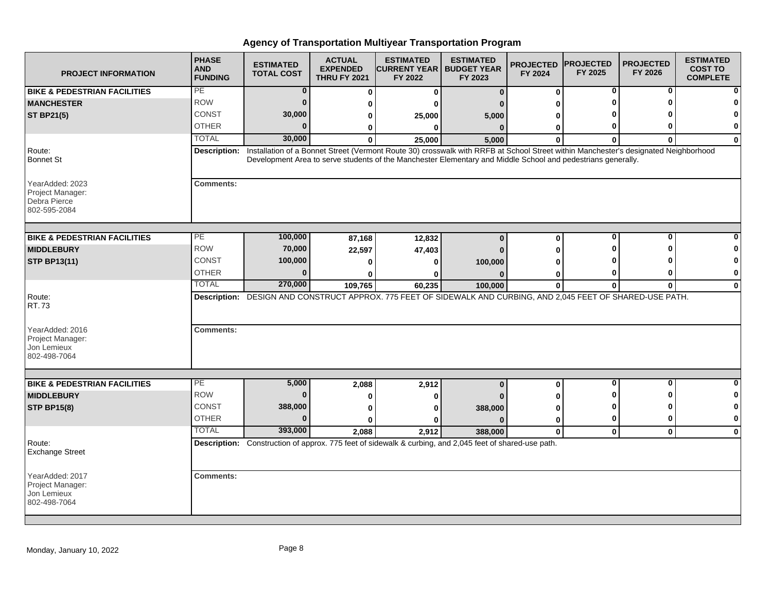| <b>PROJECT INFORMATION</b>                                          | <b>PHASE</b><br><b>AND</b><br><b>FUNDING</b> | <b>ESTIMATED</b><br><b>TOTAL COST</b> | <b>ACTUAL</b><br><b>EXPENDED</b><br><b>THRU FY 2021</b> | <b>ESTIMATED</b><br><b>ICURRENT YEAR   BUDGET YEAR</b><br>FY 2022                                                                                                                                                                                                | <b>ESTIMATED</b><br>FY 2023 | <b>PROJECTED</b><br>FY 2024 | <b>PROJECTED</b><br>FY 2025 | <b>PROJECTED</b><br>FY 2026 | <b>ESTIMATED</b><br><b>COST TO</b><br><b>COMPLETE</b> |
|---------------------------------------------------------------------|----------------------------------------------|---------------------------------------|---------------------------------------------------------|------------------------------------------------------------------------------------------------------------------------------------------------------------------------------------------------------------------------------------------------------------------|-----------------------------|-----------------------------|-----------------------------|-----------------------------|-------------------------------------------------------|
| <b>BIKE &amp; PEDESTRIAN FACILITIES</b>                             | PE                                           | 0                                     | $\bf{0}$                                                | $\mathbf{0}$                                                                                                                                                                                                                                                     | $\bf{0}$                    | 0                           | 0                           | 0                           |                                                       |
| <b>MANCHESTER</b>                                                   | <b>ROW</b>                                   | $\bf{0}$                              | O                                                       | ŋ                                                                                                                                                                                                                                                                |                             |                             |                             |                             |                                                       |
| <b>ST BP21(5)</b>                                                   | <b>CONST</b>                                 | 30,000                                | 0                                                       | 25,000                                                                                                                                                                                                                                                           | 5,000                       |                             |                             |                             |                                                       |
|                                                                     | <b>OTHER</b>                                 | U                                     | 0                                                       | $\bf{0}$                                                                                                                                                                                                                                                         | $\Omega$                    | 0                           |                             | n                           | $\bf{0}$                                              |
|                                                                     | <b>TOTAL</b>                                 | 30,000                                | $\mathbf{0}$                                            | 25,000                                                                                                                                                                                                                                                           | 5,000                       | $\bf{0}$                    | $\bf{0}$                    | $\bf{0}$                    | $\mathbf 0$                                           |
| Route:<br><b>Bonnet St</b>                                          |                                              |                                       |                                                         | Description: Installation of a Bonnet Street (Vermont Route 30) crosswalk with RRFB at School Street within Manchester's designated Neighborhood<br>Development Area to serve students of the Manchester Elementary and Middle School and pedestrians generally. |                             |                             |                             |                             |                                                       |
| YearAdded: 2023<br>Project Manager:<br>Debra Pierce<br>802-595-2084 | <b>Comments:</b>                             |                                       |                                                         |                                                                                                                                                                                                                                                                  |                             |                             |                             |                             |                                                       |
| <b>BIKE &amp; PEDESTRIAN FACILITIES</b>                             | PE                                           | 100,000                               | 87,168                                                  | 12,832                                                                                                                                                                                                                                                           | $\bf{0}$                    | 0                           | $\bf{0}$                    | $\bf{0}$                    |                                                       |
| <b>MIDDLEBURY</b>                                                   | <b>ROW</b>                                   | 70,000                                | 22,597                                                  | 47,403                                                                                                                                                                                                                                                           |                             | ŋ                           |                             | ŋ                           |                                                       |
| <b>STP BP13(11)</b>                                                 | <b>CONST</b>                                 | 100,000                               | O                                                       | O                                                                                                                                                                                                                                                                | 100,000                     |                             |                             |                             | 0                                                     |
|                                                                     | <b>OTHER</b>                                 | U                                     | ŋ                                                       | ŋ                                                                                                                                                                                                                                                                |                             | 0                           | 0                           | o                           | 0                                                     |
|                                                                     | <b>TOTAL</b>                                 | 270,000                               | 109,765                                                 | 60,235                                                                                                                                                                                                                                                           | 100,000                     | $\bf{0}$                    | $\bf{0}$                    | $\bf{0}$                    | $\mathbf{0}$                                          |
| Route:<br>RT.73                                                     |                                              |                                       |                                                         | Description: DESIGN AND CONSTRUCT APPROX. 775 FEET OF SIDEWALK AND CURBING, AND 2,045 FEET OF SHARED-USE PATH.                                                                                                                                                   |                             |                             |                             |                             |                                                       |
| YearAdded: 2016<br>Project Manager:<br>Jon Lemieux<br>802-498-7064  | <b>Comments:</b>                             |                                       |                                                         |                                                                                                                                                                                                                                                                  |                             |                             |                             |                             |                                                       |
| <b>BIKE &amp; PEDESTRIAN FACILITIES</b>                             | PE                                           | 5,000                                 | 2,088                                                   | 2,912                                                                                                                                                                                                                                                            | $\bf{0}$                    | 0                           | $\bf{0}$                    | $\bf{0}$                    | $\bf{0}$                                              |
| <b>MIDDLEBURY</b>                                                   | <b>ROW</b>                                   | $\bf{0}$                              | $\bf{0}$                                                | 0                                                                                                                                                                                                                                                                |                             |                             |                             | ŋ                           | 0                                                     |
| <b>STP BP15(8)</b>                                                  | <b>CONST</b>                                 | 388,000                               | 0                                                       | ŋ                                                                                                                                                                                                                                                                | 388,000                     | ŋ                           | 0                           | ŋ                           | 0                                                     |
|                                                                     | <b>OTHER</b>                                 | <sup>0</sup>                          | 0                                                       | ŋ                                                                                                                                                                                                                                                                |                             | 0                           | 0                           | $\bf{0}$                    | $\mathbf 0$                                           |
|                                                                     | <b>TOTAL</b>                                 | 393,000                               | 2,088                                                   | 2,912                                                                                                                                                                                                                                                            | 388,000                     | $\mathbf 0$                 | $\mathbf 0$                 | $\mathbf{0}$                | $\mathbf 0$                                           |
| Route:<br><b>Exchange Street</b>                                    |                                              |                                       |                                                         | Description: Construction of approx. 775 feet of sidewalk & curbing, and 2,045 feet of shared-use path.                                                                                                                                                          |                             |                             |                             |                             |                                                       |
| YearAdded: 2017<br>Project Manager:<br>Jon Lemieux<br>802-498-7064  | <b>Comments:</b>                             |                                       |                                                         |                                                                                                                                                                                                                                                                  |                             |                             |                             |                             |                                                       |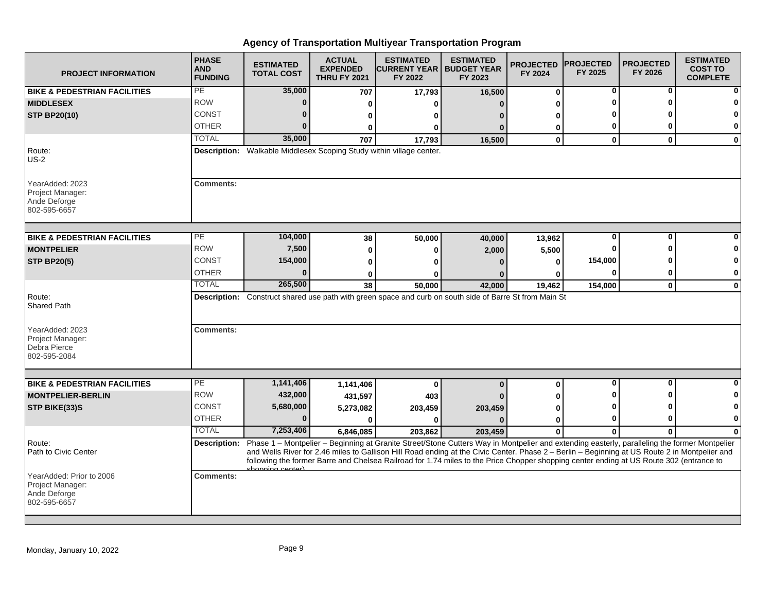| <b>PROJECT INFORMATION</b>                                                   | <b>PHASE</b><br><b>AND</b><br><b>FUNDING</b> | <b>ESTIMATED</b><br><b>TOTAL COST</b> | <b>ACTUAL</b><br><b>EXPENDED</b><br><b>THRU FY 2021</b> | <b>ESTIMATED</b><br><b>ICURRENT YEAR   BUDGET YEAR</b><br>FY 2022                                                                                                                                                                                                                                                                                                                                                                                     | <b>ESTIMATED</b><br>FY 2023 | <b>PROJECTED</b><br>FY 2024 | <b>PROJECTED</b><br>FY 2025 | <b>PROJECTED</b><br>FY 2026 | <b>ESTIMATED</b><br><b>COST TO</b><br><b>COMPLETE</b> |
|------------------------------------------------------------------------------|----------------------------------------------|---------------------------------------|---------------------------------------------------------|-------------------------------------------------------------------------------------------------------------------------------------------------------------------------------------------------------------------------------------------------------------------------------------------------------------------------------------------------------------------------------------------------------------------------------------------------------|-----------------------------|-----------------------------|-----------------------------|-----------------------------|-------------------------------------------------------|
| <b>BIKE &amp; PEDESTRIAN FACILITIES</b>                                      | PE                                           | 35,000                                | 707                                                     | 17,793                                                                                                                                                                                                                                                                                                                                                                                                                                                | 16,500                      | 0                           | 0                           | 0                           |                                                       |
| <b>MIDDLESEX</b>                                                             | <b>ROW</b>                                   | $\bf{0}$                              | 0                                                       | O                                                                                                                                                                                                                                                                                                                                                                                                                                                     | n                           | U                           | ŋ                           | $\mathbf{0}$                |                                                       |
| <b>STP BP20(10)</b>                                                          | <b>CONST</b>                                 | $\bf{0}$                              | 0                                                       | 0                                                                                                                                                                                                                                                                                                                                                                                                                                                     |                             | U                           |                             |                             |                                                       |
|                                                                              | <b>OTHER</b>                                 | $\Omega$                              | 0                                                       | $\bf{0}$                                                                                                                                                                                                                                                                                                                                                                                                                                              | O                           | 0                           | 0                           | O                           | 0                                                     |
|                                                                              | <b>TOTAL</b>                                 | 35,000                                | 707                                                     | 17,793                                                                                                                                                                                                                                                                                                                                                                                                                                                | 16,500                      | $\mathbf 0$                 | $\mathbf 0$                 | $\mathbf{0}$                | $\mathbf 0$                                           |
| Route:<br>$US-2$                                                             |                                              |                                       |                                                         | Description: Walkable Middlesex Scoping Study within village center.                                                                                                                                                                                                                                                                                                                                                                                  |                             |                             |                             |                             |                                                       |
| YearAdded: 2023<br>Project Manager:<br>Ande Deforge<br>802-595-6657          | <b>Comments:</b>                             |                                       |                                                         |                                                                                                                                                                                                                                                                                                                                                                                                                                                       |                             |                             |                             |                             |                                                       |
| <b>BIKE &amp; PEDESTRIAN FACILITIES</b>                                      | $\overline{PE}$                              | 104,000                               | 38                                                      | 50,000                                                                                                                                                                                                                                                                                                                                                                                                                                                | 40,000                      | 13,962                      | $\bf{0}$                    | $\bf{0}$                    |                                                       |
| <b>MONTPELIER</b>                                                            | <b>ROW</b>                                   | 7,500                                 | 0                                                       | 0                                                                                                                                                                                                                                                                                                                                                                                                                                                     | 2,000                       | 5,500                       | ŋ                           | ŋ                           |                                                       |
| <b>STP BP20(5)</b>                                                           | <b>CONST</b>                                 | 154,000                               | 0                                                       | ŋ                                                                                                                                                                                                                                                                                                                                                                                                                                                     |                             | 0                           | 154,000                     |                             | 0                                                     |
|                                                                              | <b>OTHER</b>                                 | $\Omega$                              | 0                                                       | ŋ                                                                                                                                                                                                                                                                                                                                                                                                                                                     |                             | ŋ                           | $\bf{0}$                    | 0                           | $\mathbf 0$                                           |
|                                                                              | <b>TOTAL</b>                                 | 265,500                               | 38                                                      | 50,000                                                                                                                                                                                                                                                                                                                                                                                                                                                | 42,000                      | 19,462                      | 154,000                     | $\mathbf 0$                 | $\mathbf{0}$                                          |
| Route:<br><b>Shared Path</b>                                                 |                                              |                                       |                                                         | Description: Construct shared use path with green space and curb on south side of Barre St from Main St                                                                                                                                                                                                                                                                                                                                               |                             |                             |                             |                             |                                                       |
| YearAdded: 2023<br>Project Manager:<br>Debra Pierce<br>802-595-2084          | <b>Comments:</b>                             |                                       |                                                         |                                                                                                                                                                                                                                                                                                                                                                                                                                                       |                             |                             |                             |                             |                                                       |
|                                                                              |                                              |                                       |                                                         |                                                                                                                                                                                                                                                                                                                                                                                                                                                       |                             |                             |                             |                             |                                                       |
| <b>BIKE &amp; PEDESTRIAN FACILITIES</b>                                      | $\overline{\mathsf{PE}}$                     | 1,141,406                             | 1,141,406                                               | $\bf{0}$                                                                                                                                                                                                                                                                                                                                                                                                                                              | $\bf{0}$                    | 0                           | $\mathbf 0$                 | $\mathbf{0}$                | $\bf{0}$                                              |
| <b>MONTPELIER-BERLIN</b>                                                     | <b>ROW</b>                                   | 432,000                               | 431,597                                                 | 403                                                                                                                                                                                                                                                                                                                                                                                                                                                   |                             | U                           |                             | ŋ                           |                                                       |
| STP BIKE(33)S                                                                | <b>CONST</b>                                 | 5,680,000                             | 5,273,082                                               | 203,459                                                                                                                                                                                                                                                                                                                                                                                                                                               | 203,459                     | U                           | ŋ                           |                             | O                                                     |
|                                                                              | <b>OTHER</b>                                 | $\bf{0}$                              | $\bf{0}$                                                | 0                                                                                                                                                                                                                                                                                                                                                                                                                                                     |                             | 0                           | 0                           | 0                           | 0                                                     |
|                                                                              | <b>TOTAL</b>                                 | 7,253,406                             | 6,846,085                                               | 203,862                                                                                                                                                                                                                                                                                                                                                                                                                                               | 203,459                     | 0                           | $\bf{0}$                    | $\Omega$                    | $\Omega$                                              |
| Route:<br>Path to Civic Center                                               |                                              | chonning center)                      |                                                         | Description: Phase 1 - Montpelier - Beginning at Granite Street/Stone Cutters Way in Montpelier and extending easterly, paralleling the former Montpelier<br>and Wells River for 2.46 miles to Gallison Hill Road ending at the Civic Center. Phase 2 - Berlin - Beginning at US Route 2 in Montpelier and<br>following the former Barre and Chelsea Railroad for 1.74 miles to the Price Chopper shopping center ending at US Route 302 (entrance to |                             |                             |                             |                             |                                                       |
| YearAdded: Prior to 2006<br>Project Manager:<br>Ande Deforge<br>802-595-6657 | <b>Comments:</b>                             |                                       |                                                         |                                                                                                                                                                                                                                                                                                                                                                                                                                                       |                             |                             |                             |                             |                                                       |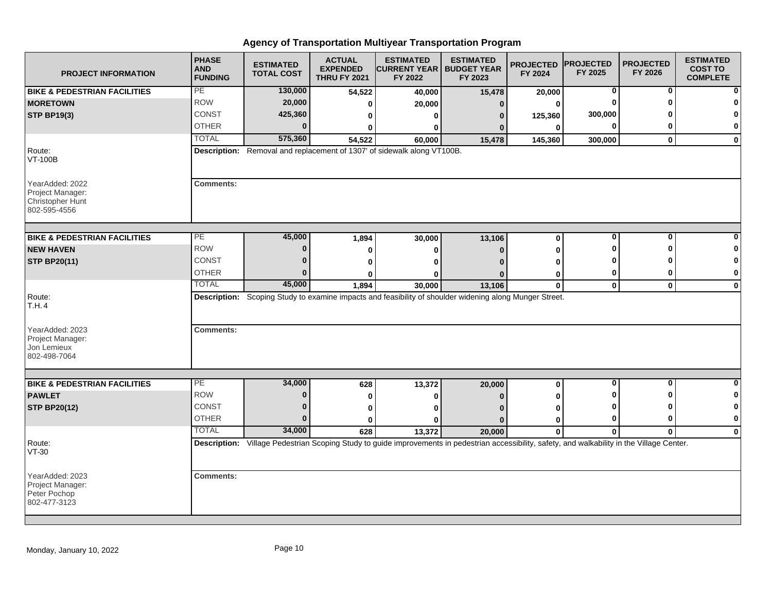| <b>PROJECT INFORMATION</b>                                              | <b>PHASE</b><br><b>AND</b><br><b>FUNDING</b> | <b>ESTIMATED</b><br><b>TOTAL COST</b> | <b>ACTUAL</b><br><b>EXPENDED</b><br><b>THRU FY 2021</b> | <b>ESTIMATED</b><br><b>CURRENT YEAR   BUDGET YEAR</b><br>FY 2022                                                                                | <b>ESTIMATED</b><br>FY 2023 | <b>PROJECTED</b><br>FY 2024 | <b>PROJECTED</b><br>FY 2025 | <b>PROJECTED</b><br>FY 2026 | <b>ESTIMATED</b><br><b>COST TO</b><br><b>COMPLETE</b> |
|-------------------------------------------------------------------------|----------------------------------------------|---------------------------------------|---------------------------------------------------------|-------------------------------------------------------------------------------------------------------------------------------------------------|-----------------------------|-----------------------------|-----------------------------|-----------------------------|-------------------------------------------------------|
| <b>BIKE &amp; PEDESTRIAN FACILITIES</b>                                 | PE                                           | 130,000                               | 54,522                                                  | 40,000                                                                                                                                          | 15,478                      | 20,000                      | 0                           | 0                           |                                                       |
| <b>MORETOWN</b>                                                         | <b>ROW</b>                                   | 20,000                                | 0                                                       | 20,000                                                                                                                                          | $\bf{0}$                    | 0                           | $\Omega$                    | ŋ                           |                                                       |
| <b>STP BP19(3)</b>                                                      | CONST                                        | 425,360                               | 0                                                       | 0                                                                                                                                               | 0                           | 125,360                     | 300,000                     |                             |                                                       |
|                                                                         | <b>OTHER</b>                                 | $\Omega$                              | 0                                                       | 0                                                                                                                                               |                             | 0                           | 0                           | ŋ                           | 0                                                     |
|                                                                         | <b>TOTAL</b>                                 | 575,360                               | 54,522                                                  | 60,000                                                                                                                                          | 15,478                      | 145,360                     | 300,000                     | $\mathbf{0}$                | $\mathbf{0}$                                          |
| Route:<br><b>VT-100B</b>                                                |                                              |                                       |                                                         | Description: Removal and replacement of 1307' of sidewalk along VT100B.                                                                         |                             |                             |                             |                             |                                                       |
| YearAdded: 2022<br>Project Manager:<br>Christopher Hunt<br>802-595-4556 | <b>Comments:</b>                             |                                       |                                                         |                                                                                                                                                 |                             |                             |                             |                             |                                                       |
| <b>BIKE &amp; PEDESTRIAN FACILITIES</b>                                 | PE                                           | 45,000                                | 1,894                                                   | 30,000                                                                                                                                          | 13,106                      | 0                           | $\mathbf 0$                 | 0                           |                                                       |
| <b>NEW HAVEN</b>                                                        | <b>ROW</b>                                   | $\bf{0}$                              |                                                         |                                                                                                                                                 |                             | O                           | ŋ                           | ŋ                           |                                                       |
|                                                                         | <b>CONST</b>                                 | $\Omega$                              | 0                                                       | 0                                                                                                                                               | $\Omega$                    |                             |                             |                             | O                                                     |
| <b>STP BP20(11)</b>                                                     | <b>OTHER</b>                                 | $\Omega$                              | $\Omega$                                                | ŋ                                                                                                                                               |                             | O                           | 0                           | ŋ                           | $\mathbf 0$                                           |
|                                                                         | <b>TOTAL</b>                                 | 45,000                                | 0<br>1,894                                              | 0<br>30,000                                                                                                                                     | 13,106                      | 0<br>0                      | $\mathbf 0$                 | $\mathbf 0$                 | $\mathbf 0$                                           |
| Route:<br>T.H.4                                                         |                                              |                                       |                                                         | Description: Scoping Study to examine impacts and feasibility of shoulder widening along Munger Street.                                         |                             |                             |                             |                             |                                                       |
| YearAdded: 2023<br>Project Manager:<br>Jon Lemieux<br>802-498-7064      | <b>Comments:</b>                             |                                       |                                                         |                                                                                                                                                 |                             |                             |                             |                             |                                                       |
| <b>BIKE &amp; PEDESTRIAN FACILITIES</b>                                 | $\overline{PE}$                              | 34,000                                | 628                                                     | 13,372                                                                                                                                          | 20,000                      | 0                           | 0                           | 0                           | 0                                                     |
| <b>PAWLET</b>                                                           | <b>ROW</b>                                   | $\bf{0}$                              | 0                                                       | 0                                                                                                                                               |                             | U                           | ŋ                           | ŋ                           | 0                                                     |
| <b>STP BP20(12)</b>                                                     | CONST                                        | $\bf{0}$                              | 0                                                       | 0                                                                                                                                               |                             | 0                           | 0                           | ŋ                           | 0                                                     |
|                                                                         | <b>OTHER</b>                                 | $\bf{0}$                              | $\mathbf{0}$                                            | O                                                                                                                                               | $\Omega$                    | $\bf{0}$                    | $\bf{0}$                    | $\bf{0}$                    | $\bf{0}$                                              |
|                                                                         | <b>TOTAL</b>                                 | 34,000                                | 628                                                     | 13,372                                                                                                                                          | 20,000                      | $\mathbf{0}$                | $\mathbf{0}$                | $\mathbf{0}$                | $\mathbf 0$                                           |
| Route:<br>$VT-30$                                                       |                                              |                                       |                                                         | Description: Village Pedestrian Scoping Study to guide improvements in pedestrian accessibility, safety, and walkability in the Village Center. |                             |                             |                             |                             |                                                       |
| YearAdded: 2023<br>Project Manager:<br>Peter Pochop<br>802-477-3123     | <b>Comments:</b>                             |                                       |                                                         |                                                                                                                                                 |                             |                             |                             |                             |                                                       |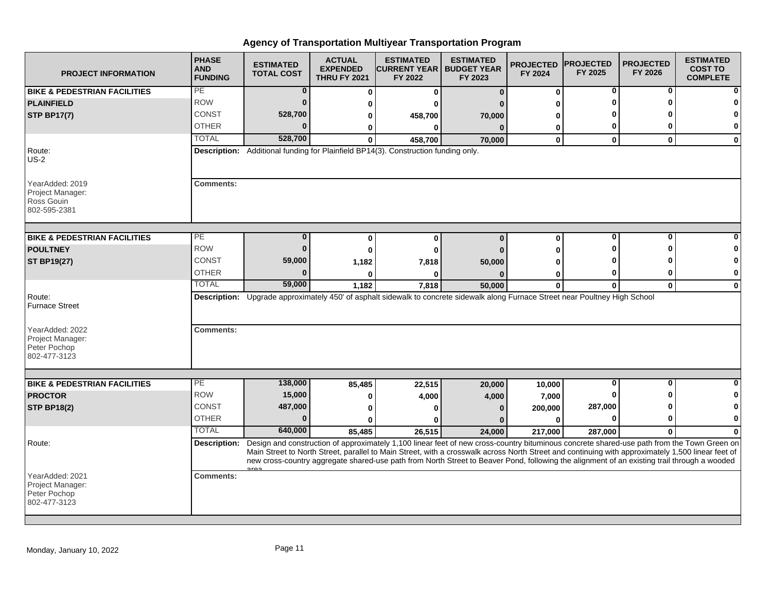| <b>PROJECT INFORMATION</b>                                          | <b>PHASE</b><br><b>AND</b><br><b>FUNDING</b> | <b>ESTIMATED</b><br><b>TOTAL COST</b> | <b>ACTUAL</b><br><b>EXPENDED</b><br><b>THRU FY 2021</b> | <b>ESTIMATED</b><br><b>CURRENT YEAR I</b><br>FY 2022                                                                                                                                                                                                                                                                                                                                                                                           | <b>ESTIMATED</b><br><b>BUDGET YEAR</b><br>FY 2023 | <b>PROJECTED</b><br>FY 2024 | <b>PROJECTED</b><br>FY 2025 | <b>PROJECTED</b><br>FY 2026 | <b>ESTIMATED</b><br><b>COST TO</b><br><b>COMPLETE</b> |
|---------------------------------------------------------------------|----------------------------------------------|---------------------------------------|---------------------------------------------------------|------------------------------------------------------------------------------------------------------------------------------------------------------------------------------------------------------------------------------------------------------------------------------------------------------------------------------------------------------------------------------------------------------------------------------------------------|---------------------------------------------------|-----------------------------|-----------------------------|-----------------------------|-------------------------------------------------------|
| <b>BIKE &amp; PEDESTRIAN FACILITIES</b>                             | PE                                           | $\bf{0}$                              | O                                                       | 0                                                                                                                                                                                                                                                                                                                                                                                                                                              | $\Omega$                                          | $\bf{0}$                    | 0                           | 0                           | $\mathbf{0}$                                          |
| <b>PLAINFIELD</b>                                                   | <b>ROW</b>                                   | $\Omega$                              | 0                                                       |                                                                                                                                                                                                                                                                                                                                                                                                                                                |                                                   |                             |                             |                             | 0                                                     |
| <b>STP BP17(7)</b>                                                  | <b>CONST</b>                                 | 528,700                               | 0                                                       | 458,700                                                                                                                                                                                                                                                                                                                                                                                                                                        | 70,000                                            |                             |                             |                             | 0                                                     |
|                                                                     | <b>OTHER</b>                                 | $\Omega$                              | 0                                                       |                                                                                                                                                                                                                                                                                                                                                                                                                                                | $\Omega$                                          | 0                           | 0                           |                             | $\mathbf{0}$                                          |
|                                                                     | <b>TOTAL</b>                                 | 528,700                               | $\bf{0}$                                                | 458,700                                                                                                                                                                                                                                                                                                                                                                                                                                        | 70,000                                            | 0                           | $\mathbf 0$                 | $\mathbf{0}$                | $\mathbf{0}$                                          |
| Route:<br>$US-2$                                                    |                                              |                                       |                                                         | Description: Additional funding for Plainfield BP14(3). Construction funding only.                                                                                                                                                                                                                                                                                                                                                             |                                                   |                             |                             |                             |                                                       |
| YearAdded: 2019<br>Project Manager:<br>Ross Gouin<br>802-595-2381   | <b>Comments:</b>                             |                                       |                                                         |                                                                                                                                                                                                                                                                                                                                                                                                                                                |                                                   |                             |                             |                             |                                                       |
| <b>BIKE &amp; PEDESTRIAN FACILITIES</b>                             | PE.                                          | $\bf{0}$                              | $\bf{0}$                                                | 0                                                                                                                                                                                                                                                                                                                                                                                                                                              | $\Omega$                                          | $\bf{0}$                    | 0                           | O                           |                                                       |
| <b>POULTNEY</b>                                                     | <b>ROW</b>                                   | $\bf{0}$                              | $\bf{0}$                                                | ŋ                                                                                                                                                                                                                                                                                                                                                                                                                                              |                                                   |                             |                             |                             | $\bf{0}$                                              |
| <b>ST BP19(27)</b>                                                  | <b>CONST</b>                                 | 59,000                                | 1,182                                                   | 7,818                                                                                                                                                                                                                                                                                                                                                                                                                                          | 50,000                                            |                             |                             |                             | $\bf{0}$                                              |
|                                                                     | <b>OTHER</b>                                 |                                       |                                                         |                                                                                                                                                                                                                                                                                                                                                                                                                                                |                                                   | 0                           |                             |                             | 0                                                     |
|                                                                     | <b>TOTAL</b>                                 | 59,000                                | 1,182                                                   | 7,818                                                                                                                                                                                                                                                                                                                                                                                                                                          | 50,000                                            | $\mathbf 0$                 | $\bf{0}$                    | $\mathbf{0}$                | $\mathbf{0}$                                          |
| Route:<br><b>Furnace Street</b>                                     |                                              |                                       |                                                         | Description: Upgrade approximately 450' of asphalt sidewalk to concrete sidewalk along Furnace Street near Poultney High School                                                                                                                                                                                                                                                                                                                |                                                   |                             |                             |                             |                                                       |
| YearAdded: 2022<br>Project Manager:<br>Peter Pochop<br>802-477-3123 | <b>Comments:</b>                             |                                       |                                                         |                                                                                                                                                                                                                                                                                                                                                                                                                                                |                                                   |                             |                             |                             |                                                       |
|                                                                     |                                              |                                       |                                                         |                                                                                                                                                                                                                                                                                                                                                                                                                                                |                                                   |                             |                             |                             |                                                       |
| <b>BIKE &amp; PEDESTRIAN FACILITIES</b>                             | $\overline{PE}$                              | 138,000                               | 85,485                                                  | 22,515                                                                                                                                                                                                                                                                                                                                                                                                                                         | 20,000                                            | 10,000                      | $\bf{0}$                    | $\bf{0}$                    | $\mathbf{0}$                                          |
| <b>PROCTOR</b>                                                      | <b>ROW</b>                                   | 15,000                                | 0                                                       | 4,000                                                                                                                                                                                                                                                                                                                                                                                                                                          | 4,000                                             | 7,000                       |                             |                             | $\mathbf{0}$                                          |
| <b>STP BP18(2)</b>                                                  | <b>CONST</b>                                 | 487,000                               | O                                                       |                                                                                                                                                                                                                                                                                                                                                                                                                                                | $\Omega$                                          | 200,000                     | 287,000                     |                             | 0                                                     |
|                                                                     | <b>OTHER</b>                                 | $\bf{0}$                              | 0                                                       |                                                                                                                                                                                                                                                                                                                                                                                                                                                |                                                   | $\Omega$                    |                             |                             | $\mathbf{0}$                                          |
|                                                                     | <b>TOTAL</b>                                 | 640,000                               | 85,485                                                  | 26,515                                                                                                                                                                                                                                                                                                                                                                                                                                         | 24,000                                            | 217,000                     | 287,000                     |                             | $\mathbf{0}$                                          |
| Route:                                                              | Description:                                 |                                       |                                                         | Design and construction of approximately 1,100 linear feet of new cross-country bituminous concrete shared-use path from the Town Green on<br>Main Street to North Street, parallel to Main Street, with a crosswalk across North Street and continuing with approximately 1,500 linear feet of<br>new cross-country aggregate shared-use path from North Street to Beaver Pond, following the alignment of an existing trail through a wooded |                                                   |                             |                             |                             |                                                       |
| YearAdded: 2021<br>Project Manager:<br>Peter Pochop<br>802-477-3123 | <b>Comments:</b>                             |                                       |                                                         |                                                                                                                                                                                                                                                                                                                                                                                                                                                |                                                   |                             |                             |                             |                                                       |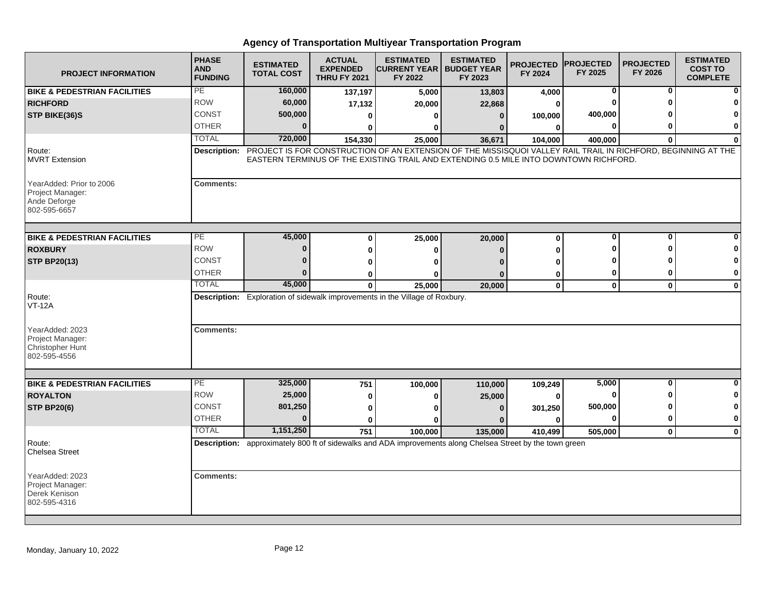| <b>PROJECT INFORMATION</b>                                                   | <b>PHASE</b><br><b>AND</b><br><b>FUNDING</b> | <b>ESTIMATED</b><br><b>TOTAL COST</b> | <b>ACTUAL</b><br><b>EXPENDED</b><br><b>THRU FY 2021</b> | <b>ESTIMATED</b><br><b>CURRENT YEAR   BUDGET YEAR</b><br>FY 2022                                                                                                                                       | <b>ESTIMATED</b><br>FY 2023 | <b>PROJECTED</b><br>FY 2024 | <b>PROJECTED</b><br>FY 2025 | <b>PROJECTED</b><br>FY 2026 | <b>ESTIMATED</b><br><b>COST TO</b><br><b>COMPLETE</b> |
|------------------------------------------------------------------------------|----------------------------------------------|---------------------------------------|---------------------------------------------------------|--------------------------------------------------------------------------------------------------------------------------------------------------------------------------------------------------------|-----------------------------|-----------------------------|-----------------------------|-----------------------------|-------------------------------------------------------|
| <b>BIKE &amp; PEDESTRIAN FACILITIES</b>                                      | PE                                           | 160,000                               | 137,197                                                 | 5,000                                                                                                                                                                                                  | 13,803                      | 4,000                       | 0                           | 0                           |                                                       |
| <b>RICHFORD</b>                                                              | <b>ROW</b>                                   | 60,000                                | 17,132                                                  | 20,000                                                                                                                                                                                                 | 22,868                      | 0                           |                             |                             |                                                       |
| STP BIKE(36)S                                                                | <b>CONST</b>                                 | 500,000                               | $\bf{0}$                                                | O                                                                                                                                                                                                      | $\bf{0}$                    | 100,000                     | 400,000                     |                             |                                                       |
|                                                                              | <b>OTHER</b>                                 | $\bf{0}$                              | 0                                                       | O                                                                                                                                                                                                      | n                           | 0                           | $\bf{0}$                    | ŋ                           | $\bf{0}$                                              |
|                                                                              | <b>TOTAL</b>                                 | 720,000                               | 154,330                                                 | 25,000                                                                                                                                                                                                 | 36,671                      | 104,000                     | 400,000                     | $\bf{0}$                    | $\Omega$                                              |
| Route:<br><b>MVRT Extension</b>                                              | Description:                                 |                                       |                                                         | PROJECT IS FOR CONSTRUCTION OF AN EXTENSION OF THE MISSISQUOI VALLEY RAIL TRAIL IN RICHFORD, BEGINNING AT THE<br>EASTERN TERMINUS OF THE EXISTING TRAIL AND EXTENDING 0.5 MILE INTO DOWNTOWN RICHFORD. |                             |                             |                             |                             |                                                       |
| YearAdded: Prior to 2006<br>Project Manager:<br>Ande Deforge<br>802-595-6657 | <b>Comments:</b>                             |                                       |                                                         |                                                                                                                                                                                                        |                             |                             |                             |                             |                                                       |
| <b>BIKE &amp; PEDESTRIAN FACILITIES</b>                                      | PE                                           | 45,000                                | $\Omega$                                                | 25,000                                                                                                                                                                                                 | 20,000                      | $\mathbf{0}$                | $\bf{0}$                    | 0                           |                                                       |
| <b>ROXBURY</b>                                                               | <b>ROW</b>                                   | $\bf{0}$                              | ŋ                                                       | ŋ                                                                                                                                                                                                      | $\Omega$                    | U                           | ŋ                           | ŋ                           |                                                       |
| <b>STP BP20(13)</b>                                                          | <b>CONST</b>                                 | 0                                     | ŋ                                                       | ŋ                                                                                                                                                                                                      |                             | Λ                           |                             |                             | O                                                     |
|                                                                              | <b>OTHER</b>                                 | $\bf{0}$                              | 0                                                       | 0                                                                                                                                                                                                      |                             | 0                           | 0                           | o                           | 0                                                     |
|                                                                              | <b>TOTAL</b>                                 | 45,000                                | 0                                                       | 25,000                                                                                                                                                                                                 | 20,000                      | 0                           | $\mathbf 0$                 | $\mathbf 0$                 | $\bf{0}$                                              |
| Route:<br><b>VT-12A</b>                                                      |                                              |                                       |                                                         | Description: Exploration of sidewalk improvements in the Village of Roxbury.                                                                                                                           |                             |                             |                             |                             |                                                       |
| YearAdded: 2023<br>Project Manager:<br>Christopher Hunt<br>802-595-4556      | <b>Comments:</b>                             |                                       |                                                         |                                                                                                                                                                                                        |                             |                             |                             |                             |                                                       |
|                                                                              | PE.                                          | 325,000                               |                                                         |                                                                                                                                                                                                        |                             |                             | 5,000                       | 0                           | $\Omega$                                              |
| <b>BIKE &amp; PEDESTRIAN FACILITIES</b><br><b>ROYALTON</b>                   | <b>ROW</b>                                   | 25,000                                | 751                                                     | 100,000                                                                                                                                                                                                | 110,000                     | 109,249                     | $\bf{0}$                    | ŋ                           | 0                                                     |
|                                                                              | <b>CONST</b>                                 | 801,250                               | 0                                                       | 0                                                                                                                                                                                                      | 25,000                      | $\bf{0}$                    | 500,000                     | n                           | 0                                                     |
| <b>STP BP20(6)</b>                                                           | <b>OTHER</b>                                 | U                                     | 0                                                       | ŋ                                                                                                                                                                                                      | $\Omega$                    | 301,250                     | 0                           | 0                           | $\bf{0}$                                              |
|                                                                              | <b>TOTAL</b>                                 | 1,151,250                             | 0                                                       | O                                                                                                                                                                                                      |                             | 0                           |                             |                             |                                                       |
| Route:<br><b>Chelsea Street</b>                                              |                                              |                                       | 751                                                     | 100,000<br>Description: approximately 800 ft of sidewalks and ADA improvements along Chelsea Street by the town green                                                                                  | 135,000                     | 410,499                     | 505,000                     | $\mathbf{0}$                | $\mathbf 0$                                           |
| YearAdded: 2023<br>Project Manager:<br>Derek Kenison<br>802-595-4316         | <b>Comments:</b>                             |                                       |                                                         |                                                                                                                                                                                                        |                             |                             |                             |                             |                                                       |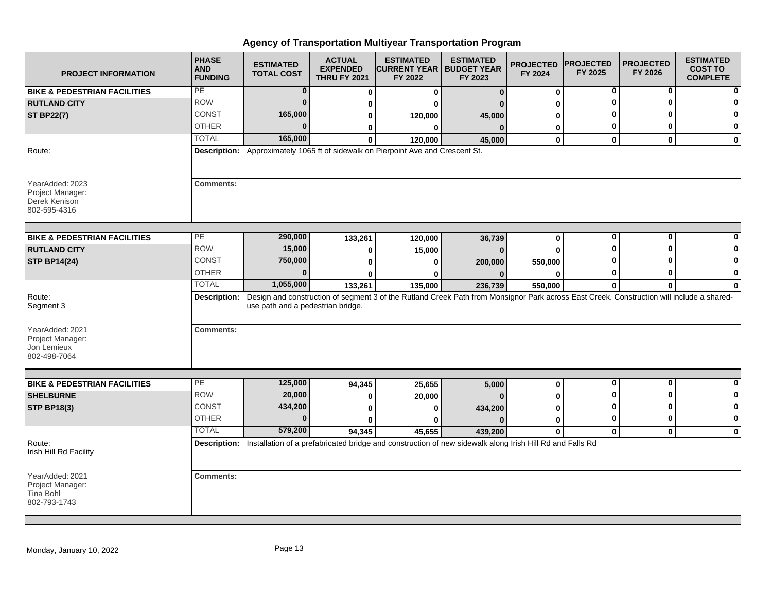| <b>PROJECT INFORMATION</b>                                           | <b>PHASE</b><br><b>AND</b><br><b>FUNDING</b> | <b>ESTIMATED</b><br><b>TOTAL COST</b> | <b>ACTUAL</b><br><b>EXPENDED</b><br><b>THRU FY 2021</b> | <b>ESTIMATED</b><br><b>CURRENT YEAR   BUDGET YEAR</b><br>FY 2022                 | <b>ESTIMATED</b><br>FY 2023                                                                                                               | <b>PROJECTED</b><br>FY 2024 | <b>PROJECTED</b><br>FY 2025 | <b>PROJECTED</b><br>FY 2026 | <b>ESTIMATED</b><br><b>COST TO</b><br><b>COMPLETE</b> |
|----------------------------------------------------------------------|----------------------------------------------|---------------------------------------|---------------------------------------------------------|----------------------------------------------------------------------------------|-------------------------------------------------------------------------------------------------------------------------------------------|-----------------------------|-----------------------------|-----------------------------|-------------------------------------------------------|
| <b>BIKE &amp; PEDESTRIAN FACILITIES</b>                              | PE                                           | $\bf{0}$                              | 0                                                       | $\mathbf 0$                                                                      | $\Omega$                                                                                                                                  | 0                           | 0                           | 0                           |                                                       |
| <b>RUTLAND CITY</b>                                                  | <b>ROW</b>                                   | $\bf{0}$                              | 0                                                       | ŋ                                                                                |                                                                                                                                           | 0                           | ŋ                           | ŋ                           |                                                       |
| <b>ST BP22(7)</b>                                                    | CONST                                        | 165,000                               | 0                                                       | 120,000                                                                          | 45,000                                                                                                                                    | 0                           |                             |                             |                                                       |
|                                                                      | <b>OTHER</b>                                 | $\bf{0}$                              | 0                                                       | 0                                                                                | $\mathbf{0}$                                                                                                                              | 0                           | 0                           | 0                           | 0                                                     |
|                                                                      | <b>TOTAL</b>                                 | 165,000                               | $\mathbf{0}$                                            | 120,000                                                                          | 45,000                                                                                                                                    | $\mathbf{0}$                | $\mathbf{0}$                | $\mathbf{0}$                | $\mathbf{0}$                                          |
| Route:                                                               |                                              |                                       |                                                         | Description: Approximately 1065 ft of sidewalk on Pierpoint Ave and Crescent St. |                                                                                                                                           |                             |                             |                             |                                                       |
| YearAdded: 2023<br>Project Manager:<br>Derek Kenison<br>802-595-4316 | <b>Comments:</b>                             |                                       |                                                         |                                                                                  |                                                                                                                                           |                             |                             |                             |                                                       |
| <b>BIKE &amp; PEDESTRIAN FACILITIES</b>                              | PЕ                                           | 290,000                               | 133,261                                                 | 120,000                                                                          | 36,739                                                                                                                                    | 0                           | 0                           | 0                           |                                                       |
| <b>RUTLAND CITY</b>                                                  | <b>ROW</b>                                   | 15,000                                | 0                                                       | 15,000                                                                           | $\Omega$                                                                                                                                  | $\bf{0}$                    | ω                           | ŋ                           |                                                       |
| <b>STP BP14(24)</b>                                                  | CONST                                        | 750,000                               | $\bf{0}$                                                | 0                                                                                | 200,000                                                                                                                                   | 550,000                     |                             |                             |                                                       |
|                                                                      | <b>OTHER</b>                                 | $\bf{0}$                              | ŋ                                                       | n                                                                                |                                                                                                                                           | O                           | 0                           | ŋ                           | 0                                                     |
|                                                                      | <b>TOTAL</b>                                 | 1,055,000                             | 133,261                                                 | 135,000                                                                          | 236,739                                                                                                                                   | 550,000                     | $\mathbf 0$                 | 0                           | $\bf{0}$                                              |
| Route:<br>Segment 3<br>YearAdded: 2021                               | <b>Description:</b><br><b>Comments:</b>      | use path and a pedestrian bridge.     |                                                         |                                                                                  | Design and construction of segment 3 of the Rutland Creek Path from Monsignor Park across East Creek. Construction will include a shared- |                             |                             |                             |                                                       |
| Project Manager:<br>Jon Lemieux<br>802-498-7064                      |                                              |                                       |                                                         |                                                                                  |                                                                                                                                           |                             |                             |                             |                                                       |
| <b>BIKE &amp; PEDESTRIAN FACILITIES</b>                              | PE                                           | 125,000                               | 94,345                                                  | 25,655                                                                           | 5,000                                                                                                                                     | 0                           | $\mathbf 0$                 | $\mathbf{0}$                | $\bf{0}$                                              |
| <b>SHELBURNE</b>                                                     | <b>ROW</b>                                   | 20,000                                | 0                                                       | 20,000                                                                           |                                                                                                                                           | ŋ                           | ŋ                           | ŋ                           | 0                                                     |
| <b>STP BP18(3)</b>                                                   | <b>CONST</b>                                 | 434,200                               | 0                                                       | 0                                                                                | 434,200                                                                                                                                   | 0                           | O                           | ŋ                           | $\mathbf 0$                                           |
|                                                                      | <b>OTHER</b>                                 | $\bf{0}$                              | $\bf{0}$                                                | 0                                                                                | n                                                                                                                                         | 0                           | 0                           | 0                           | $\bf{0}$                                              |
|                                                                      | <b>TOTAL</b>                                 | 579,200                               | 94,345                                                  | 45,655                                                                           | 439,200                                                                                                                                   | $\mathbf{0}$                | $\mathbf 0$                 | $\mathbf{0}$                | $\bf{0}$                                              |
| Route:<br>Irish Hill Rd Facility                                     |                                              |                                       |                                                         |                                                                                  | Description: Installation of a prefabricated bridge and construction of new sidewalk along Irish Hill Rd and Falls Rd                     |                             |                             |                             |                                                       |
| YearAdded: 2021<br>Project Manager:<br>Tina Bohl<br>802-793-1743     | <b>Comments:</b>                             |                                       |                                                         |                                                                                  |                                                                                                                                           |                             |                             |                             |                                                       |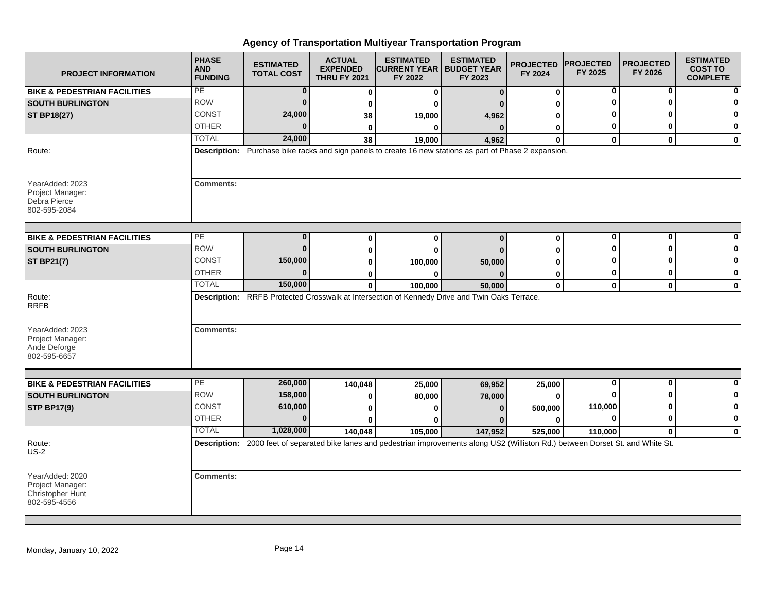| <b>PROJECT INFORMATION</b>                                              | <b>PHASE</b><br><b>AND</b><br><b>FUNDING</b> | <b>ESTIMATED</b><br><b>TOTAL COST</b> | <b>ACTUAL</b><br><b>EXPENDED</b><br><b>THRU FY 2021</b> | <b>ESTIMATED</b><br><b>CURRENT YEAR   BUDGET YEAR</b><br>FY 2022                                                                      | <b>ESTIMATED</b><br>FY 2023 | <b>PROJECTED</b><br>FY 2024 | <b>PROJECTED</b><br>FY 2025 | <b>PROJECTED</b><br>FY 2026 | <b>ESTIMATED</b><br><b>COST TO</b><br><b>COMPLETE</b> |
|-------------------------------------------------------------------------|----------------------------------------------|---------------------------------------|---------------------------------------------------------|---------------------------------------------------------------------------------------------------------------------------------------|-----------------------------|-----------------------------|-----------------------------|-----------------------------|-------------------------------------------------------|
| <b>BIKE &amp; PEDESTRIAN FACILITIES</b>                                 | PE                                           | 0                                     | $\bf{0}$                                                | $\mathbf{0}$                                                                                                                          | $\bf{0}$                    | 0                           | 0                           | 0                           |                                                       |
| <b>SOUTH BURLINGTON</b>                                                 | <b>ROW</b>                                   | $\bf{0}$                              | 0                                                       | O                                                                                                                                     |                             | ŋ                           |                             | ŋ                           |                                                       |
| <b>ST BP18(27)</b>                                                      | CONST                                        | 24,000                                | 38                                                      | 19,000                                                                                                                                | 4,962                       | ŋ                           |                             |                             | 0                                                     |
|                                                                         | <b>OTHER</b>                                 | $\bf{0}$                              | $\bf{0}$                                                | $\bf{0}$                                                                                                                              | $\bf{0}$                    | 0                           | 0                           | ŋ                           | 0                                                     |
|                                                                         | <b>TOTAL</b>                                 | 24,000                                | 38                                                      | 19,000                                                                                                                                | 4,962                       | $\mathbf{0}$                | $\mathbf{0}$                | $\mathbf{0}$                | $\mathbf{0}$                                          |
| Route:                                                                  |                                              |                                       |                                                         | Description: Purchase bike racks and sign panels to create 16 new stations as part of Phase 2 expansion.                              |                             |                             |                             |                             |                                                       |
| YearAdded: 2023<br>Project Manager:<br>Debra Pierce<br>802-595-2084     | <b>Comments:</b>                             |                                       |                                                         |                                                                                                                                       |                             |                             |                             |                             |                                                       |
| <b>BIKE &amp; PEDESTRIAN FACILITIES</b>                                 | PE                                           | $\bf{0}$                              | $\bf{0}$                                                | $\bf{0}$                                                                                                                              | $\Omega$                    | 0                           | 0                           | 0                           |                                                       |
| <b>SOUTH BURLINGTON</b>                                                 | <b>ROW</b>                                   | $\bf{0}$                              | 0                                                       |                                                                                                                                       |                             | U                           | Ω                           | ŋ                           | 0                                                     |
| <b>ST BP21(7)</b>                                                       | <b>CONST</b>                                 | 150,000                               | 0                                                       | 0                                                                                                                                     |                             | ŋ                           |                             |                             | 0                                                     |
|                                                                         | <b>OTHER</b>                                 | $\bf{0}$                              | 0                                                       | 100,000<br>O                                                                                                                          | 50,000                      | 0                           | 0                           | 0                           | 0                                                     |
|                                                                         | <b>TOTAL</b>                                 | 150,000                               | $\mathbf{0}$                                            | 100,000                                                                                                                               | 50,000                      | $\pmb{0}$                   | $\mathbf{0}$                | $\mathbf 0$                 | $\bf{0}$                                              |
| Route:<br><b>RRFB</b>                                                   |                                              |                                       |                                                         | Description: RRFB Protected Crosswalk at Intersection of Kennedy Drive and Twin Oaks Terrace.                                         |                             |                             |                             |                             |                                                       |
| YearAdded: 2023<br>Project Manager:<br>Ande Deforge<br>802-595-6657     | <b>Comments:</b>                             |                                       |                                                         |                                                                                                                                       |                             |                             |                             |                             |                                                       |
|                                                                         | PE                                           | 260,000                               |                                                         |                                                                                                                                       |                             |                             | 0                           | $\bf{0}$                    | ŋ                                                     |
| <b>BIKE &amp; PEDESTRIAN FACILITIES</b>                                 | <b>ROW</b>                                   | 158,000                               | 140,048                                                 | 25,000                                                                                                                                | 69,952                      | 25,000                      |                             |                             | 0                                                     |
| <b>SOUTH BURLINGTON</b>                                                 | <b>CONST</b>                                 | 610,000                               | 0                                                       | 80,000                                                                                                                                | 78,000                      | 0                           | 110,000                     |                             | 0                                                     |
| <b>STP BP17(9)</b>                                                      | <b>OTHER</b>                                 | $\bf{0}$                              | 0                                                       | 0                                                                                                                                     | $\Omega$                    | 500,000                     | $\bf{0}$                    | 0                           | 0                                                     |
|                                                                         | <b>TOTAL</b>                                 | 1,028,000                             | O                                                       |                                                                                                                                       |                             | O                           |                             |                             |                                                       |
|                                                                         |                                              |                                       | 140,048                                                 | 105,000                                                                                                                               | 147,952                     | 525,000                     | 110,000                     | $\mathbf{0}$                | $\mathbf 0$                                           |
| Route:<br>$US-2$                                                        |                                              |                                       |                                                         | Description: 2000 feet of separated bike lanes and pedestrian improvements along US2 (Williston Rd.) between Dorset St. and White St. |                             |                             |                             |                             |                                                       |
| YearAdded: 2020<br>Project Manager:<br>Christopher Hunt<br>802-595-4556 | <b>Comments:</b>                             |                                       |                                                         |                                                                                                                                       |                             |                             |                             |                             |                                                       |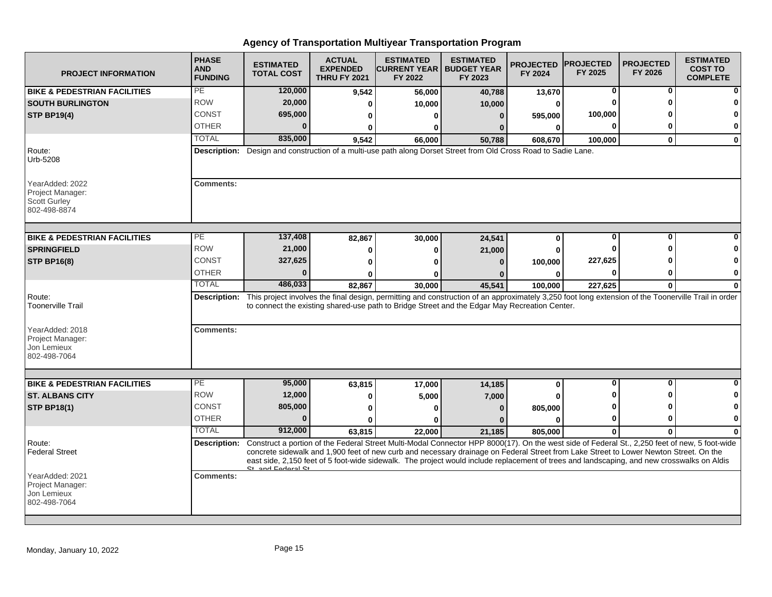| <b>PROJECT INFORMATION</b>                                                 | <b>PHASE</b><br><b>AND</b><br><b>FUNDING</b> | <b>ESTIMATED</b><br><b>TOTAL COST</b> | <b>ACTUAL</b><br><b>EXPENDED</b><br><b>THRU FY 2021</b> | <b>ESTIMATED</b><br><b>ICURRENT YEAR I BUDGET YEAR</b><br>FY 2022                                                                                                                                                                                                                                                                                                                                                                    | <b>ESTIMATED</b><br>FY 2023 | <b>PROJECTED</b><br>FY 2024 | <b>IPROJECTED</b><br>FY 2025 | <b>PROJECTED</b><br>FY 2026 | <b>ESTIMATED</b><br><b>COST TO</b><br><b>COMPLETE</b> |
|----------------------------------------------------------------------------|----------------------------------------------|---------------------------------------|---------------------------------------------------------|--------------------------------------------------------------------------------------------------------------------------------------------------------------------------------------------------------------------------------------------------------------------------------------------------------------------------------------------------------------------------------------------------------------------------------------|-----------------------------|-----------------------------|------------------------------|-----------------------------|-------------------------------------------------------|
| <b>BIKE &amp; PEDESTRIAN FACILITIES</b>                                    | PE                                           | 120,000                               | 9,542                                                   | 56,000                                                                                                                                                                                                                                                                                                                                                                                                                               | 40,788                      | 13,670                      | 0                            | 0                           |                                                       |
| <b>SOUTH BURLINGTON</b>                                                    | <b>ROW</b>                                   | 20,000                                | 0                                                       | 10,000                                                                                                                                                                                                                                                                                                                                                                                                                               | 10,000                      | 0                           | O                            | ŋ                           |                                                       |
| <b>STP BP19(4)</b>                                                         | <b>CONST</b>                                 | 695,000                               | 0                                                       | $\Omega$                                                                                                                                                                                                                                                                                                                                                                                                                             | $\bf{0}$                    | 595,000                     | 100,000                      |                             |                                                       |
|                                                                            | <b>OTHER</b>                                 | $\bf{0}$                              | 0                                                       | 0                                                                                                                                                                                                                                                                                                                                                                                                                                    |                             | 0                           | $\bf{0}$                     | O                           | $\mathbf 0$                                           |
|                                                                            | <b>TOTAL</b>                                 | 835,000                               | 9,542                                                   | 66,000                                                                                                                                                                                                                                                                                                                                                                                                                               | 50,788                      | 608,670                     | 100,000                      | $\mathbf{0}$                | $\bf{0}$                                              |
| Route:<br>Urb-5208                                                         | <b>Description:</b>                          |                                       |                                                         | Design and construction of a multi-use path along Dorset Street from Old Cross Road to Sadie Lane.                                                                                                                                                                                                                                                                                                                                   |                             |                             |                              |                             |                                                       |
| YearAdded: 2022<br>Project Manager:<br><b>Scott Gurley</b><br>802-498-8874 | <b>Comments:</b>                             |                                       |                                                         |                                                                                                                                                                                                                                                                                                                                                                                                                                      |                             |                             |                              |                             |                                                       |
| <b>BIKE &amp; PEDESTRIAN FACILITIES</b>                                    | PE                                           | 137,408                               | 82,867                                                  | 30,000                                                                                                                                                                                                                                                                                                                                                                                                                               | 24,541                      | 0                           | 0                            | 0                           |                                                       |
| <b>SPRINGFIELD</b>                                                         | <b>ROW</b>                                   | 21,000                                | 0                                                       | $\bf{0}$                                                                                                                                                                                                                                                                                                                                                                                                                             | 21,000                      | $\bf{0}$                    |                              |                             |                                                       |
| <b>STP BP16(8)</b>                                                         | <b>CONST</b>                                 | 327,625                               | 0                                                       | n                                                                                                                                                                                                                                                                                                                                                                                                                                    | n                           | 100,000                     | 227,625                      |                             |                                                       |
|                                                                            | <b>OTHER</b>                                 | U                                     | 0                                                       | ŋ                                                                                                                                                                                                                                                                                                                                                                                                                                    |                             | 0                           | $\bf{0}$                     | ŋ                           | O                                                     |
|                                                                            | <b>TOTAL</b>                                 | 486,033                               | 82.867                                                  | 30,000                                                                                                                                                                                                                                                                                                                                                                                                                               | 45,541                      | 100,000                     | 227,625                      | $\bf{0}$                    | $\bf{0}$                                              |
| Route:<br><b>Toonerville Trail</b>                                         |                                              |                                       |                                                         | Description: This project involves the final design, permitting and construction of an approximately 3,250 foot long extension of the Toonerville Trail in order<br>to connect the existing shared-use path to Bridge Street and the Edgar May Recreation Center.                                                                                                                                                                    |                             |                             |                              |                             |                                                       |
| YearAdded: 2018<br>Project Manager:<br>Jon Lemieux<br>802-498-7064         | <b>Comments:</b>                             |                                       |                                                         |                                                                                                                                                                                                                                                                                                                                                                                                                                      |                             |                             |                              |                             |                                                       |
|                                                                            |                                              |                                       |                                                         |                                                                                                                                                                                                                                                                                                                                                                                                                                      |                             |                             |                              |                             |                                                       |
| <b>BIKE &amp; PEDESTRIAN FACILITIES</b>                                    | $\overline{\mathsf{PE}}$                     | 95,000                                | 63,815                                                  | 17,000                                                                                                                                                                                                                                                                                                                                                                                                                               | 14,185                      | 0                           | $\mathbf 0$                  | 0                           |                                                       |
| <b>ST. ALBANS CITY</b>                                                     | <b>ROW</b>                                   | 12,000                                | $\bf{0}$                                                | 5,000                                                                                                                                                                                                                                                                                                                                                                                                                                | 7,000                       | U                           |                              |                             |                                                       |
| <b>STP BP18(1)</b>                                                         | CONST                                        | 805,000                               | 0                                                       | 0                                                                                                                                                                                                                                                                                                                                                                                                                                    | $\bf{0}$                    | 805,000                     |                              |                             |                                                       |
|                                                                            | <b>OTHER</b>                                 | $\bf{0}$                              | 0                                                       |                                                                                                                                                                                                                                                                                                                                                                                                                                      |                             | $\bf{0}$                    | 0                            | 0                           | 0                                                     |
|                                                                            | <b>TOTAL</b>                                 | 912,000                               | 63,815                                                  | 22,000                                                                                                                                                                                                                                                                                                                                                                                                                               | 21,185                      | 805,000                     | $\bf{0}$                     | $\bf{0}$                    |                                                       |
| Route:<br><b>Federal Street</b>                                            | Description:                                 | St. and Enderal St.                   |                                                         | Construct a portion of the Federal Street Multi-Modal Connector HPP 8000(17). On the west side of Federal St., 2,250 feet of new, 5 foot-wide<br>concrete sidewalk and 1,900 feet of new curb and necessary drainage on Federal Street from Lake Street to Lower Newton Street. On the<br>east side, 2,150 feet of 5 foot-wide sidewalk. The project would include replacement of trees and landscaping, and new crosswalks on Aldis |                             |                             |                              |                             |                                                       |
| YearAdded: 2021<br>Project Manager:<br>Jon Lemieux<br>802-498-7064         | <b>Comments:</b>                             |                                       |                                                         |                                                                                                                                                                                                                                                                                                                                                                                                                                      |                             |                             |                              |                             |                                                       |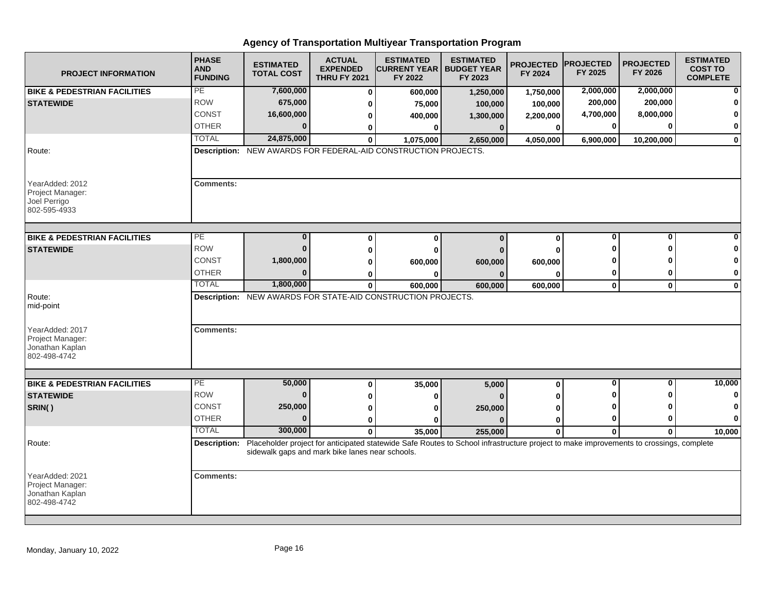| <b>PROJECT INFORMATION</b>                                             | <b>PHASE</b><br><b>AND</b><br><b>FUNDING</b> | <b>ESTIMATED</b><br><b>TOTAL COST</b>           | <b>ACTUAL</b><br><b>EXPENDED</b><br><b>THRU FY 2021</b> | <b>ESTIMATED</b><br><b>CURRENT YEAR  </b><br>FY 2022                                                                                                          | <b>ESTIMATED</b><br><b>BUDGET YEAR</b><br>FY 2023 | <b>PROJECTED</b><br>FY 2024 | <b>PROJECTED</b><br>FY 2025 | <b>PROJECTED</b><br>FY 2026 | <b>ESTIMATED</b><br><b>COST TO</b><br><b>COMPLETE</b> |
|------------------------------------------------------------------------|----------------------------------------------|-------------------------------------------------|---------------------------------------------------------|---------------------------------------------------------------------------------------------------------------------------------------------------------------|---------------------------------------------------|-----------------------------|-----------------------------|-----------------------------|-------------------------------------------------------|
| <b>BIKE &amp; PEDESTRIAN FACILITIES</b>                                | PE                                           | 7,600,000                                       | $\bf{0}$                                                | 600,000                                                                                                                                                       | 1,250,000                                         | 1,750,000                   | 2,000,000                   | 2,000,000                   | $\mathbf{0}$                                          |
| <b>STATEWIDE</b>                                                       | <b>ROW</b>                                   | 675,000                                         | 0                                                       | 75,000                                                                                                                                                        | 100,000                                           | 100,000                     | 200,000                     | 200,000                     | $\bf{0}$                                              |
|                                                                        | CONST                                        | 16,600,000                                      | 0                                                       | 400,000                                                                                                                                                       | 1,300,000                                         | 2,200,000                   | 4,700,000                   | 8,000,000                   | $\mathbf{0}$                                          |
|                                                                        | <b>OTHER</b>                                 | $\Omega$                                        | 0                                                       | 0                                                                                                                                                             | $\bf{0}$                                          | $\bf{0}$                    |                             |                             | $\mathbf{0}$                                          |
|                                                                        | <b>TOTAL</b>                                 | 24,875,000                                      | $\bf{0}$                                                | 1,075,000                                                                                                                                                     | 2,650,000                                         | 4,050,000                   | 6,900,000                   | 10,200,000                  | $\mathbf{0}$                                          |
| Route:                                                                 |                                              |                                                 |                                                         | Description: NEW AWARDS FOR FEDERAL-AID CONSTRUCTION PROJECTS.                                                                                                |                                                   |                             |                             |                             |                                                       |
| YearAdded: 2012<br>Project Manager:<br>Joel Perrigo<br>802-595-4933    | <b>Comments:</b>                             |                                                 |                                                         |                                                                                                                                                               |                                                   |                             |                             |                             |                                                       |
| <b>BIKE &amp; PEDESTRIAN FACILITIES</b>                                | PE                                           | $\bf{0}$                                        | $\bf{0}$                                                | $\Omega$                                                                                                                                                      | $\Omega$                                          | $\bf{0}$                    | 0                           | $\Omega$                    | $\mathbf{0}$                                          |
| <b>STATEWIDE</b>                                                       | <b>ROW</b>                                   | $\mathbf{0}$                                    | $\bf{0}$                                                | ŋ                                                                                                                                                             |                                                   | O                           |                             |                             | $\mathbf{0}$                                          |
|                                                                        | <b>CONST</b>                                 | 1,800,000                                       | 0                                                       | 600,000                                                                                                                                                       | 600,000                                           | 600,000                     |                             |                             | $\mathbf{0}$                                          |
|                                                                        | <b>OTHER</b>                                 | $\bf{0}$                                        | 0                                                       |                                                                                                                                                               |                                                   |                             | 0                           |                             | $\mathbf{0}$                                          |
|                                                                        | <b>TOTAL</b>                                 | 1,800,000                                       | $\mathbf 0$                                             | 600,000                                                                                                                                                       | 600,000                                           | 600,000                     | $\mathbf 0$                 | $\mathbf 0$                 | $\mathbf{0}$                                          |
| Route:<br>mid-point                                                    |                                              |                                                 |                                                         | Description: NEW AWARDS FOR STATE-AID CONSTRUCTION PROJECTS.                                                                                                  |                                                   |                             |                             |                             |                                                       |
| YearAdded: 2017<br>Project Manager:<br>Jonathan Kaplan<br>802-498-4742 | <b>Comments:</b>                             |                                                 |                                                         |                                                                                                                                                               |                                                   |                             |                             |                             |                                                       |
|                                                                        | PE                                           |                                                 |                                                         |                                                                                                                                                               |                                                   |                             | 0                           | O                           | 10,000                                                |
| <b>BIKE &amp; PEDESTRIAN FACILITIES</b><br><b>STATEWIDE</b>            | <b>ROW</b>                                   | 50,000<br>$\bf{0}$                              | 0                                                       | 35,000                                                                                                                                                        | 5,000                                             | $\bf{0}$                    |                             |                             | $\mathbf{0}$                                          |
|                                                                        | <b>CONST</b>                                 | 250,000                                         | 0                                                       | ŋ                                                                                                                                                             |                                                   |                             |                             |                             | $\mathbf{0}$                                          |
| SRIN()                                                                 | <b>OTHER</b>                                 | $\bf{0}$                                        | 0                                                       | ŋ                                                                                                                                                             | 250,000                                           | $\bf{0}$                    | 0                           |                             | $\mathbf{0}$                                          |
|                                                                        | <b>TOTAL</b>                                 | 300,000                                         | $\mathbf{0}$                                            |                                                                                                                                                               |                                                   | 0                           |                             |                             |                                                       |
| Route:                                                                 |                                              | sidewalk gaps and mark bike lanes near schools. | $\mathbf{0}$                                            | 35,000<br>Description: Placeholder project for anticipated statewide Safe Routes to School infrastructure project to make improvements to crossings, complete | 255,000                                           | $\mathbf{0}$                | $\mathbf{0}$                | 0                           | 10,000                                                |
| YearAdded: 2021<br>Project Manager:<br>Jonathan Kaplan<br>802-498-4742 | <b>Comments:</b>                             |                                                 |                                                         |                                                                                                                                                               |                                                   |                             |                             |                             |                                                       |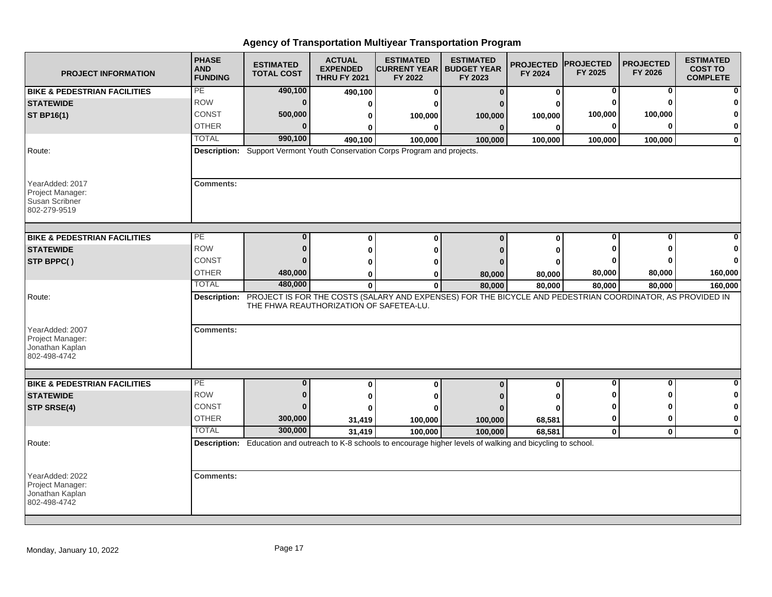| <b>PROJECT INFORMATION</b>                                             | <b>PHASE</b><br><b>AND</b><br><b>FUNDING</b> | <b>ESTIMATED</b><br><b>TOTAL COST</b> | <b>ACTUAL</b><br><b>EXPENDED</b><br><b>THRU FY 2021</b> | <b>ESTIMATED</b><br><b>ICURRENT YEAR I BUDGET YEAR</b><br>FY 2022                                                            | <b>ESTIMATED</b><br>FY 2023 | <b>PROJECTED</b><br>FY 2024 | <b>PROJECTED</b><br>FY 2025 | <b>PROJECTED</b><br>FY 2026 | <b>ESTIMATED</b><br><b>COST TO</b><br><b>COMPLETE</b> |
|------------------------------------------------------------------------|----------------------------------------------|---------------------------------------|---------------------------------------------------------|------------------------------------------------------------------------------------------------------------------------------|-----------------------------|-----------------------------|-----------------------------|-----------------------------|-------------------------------------------------------|
| <b>BIKE &amp; PEDESTRIAN FACILITIES</b>                                | PE                                           | 490,100                               | 490,100                                                 | $\bf{0}$                                                                                                                     | $\Omega$                    | 0                           | 0                           | 0                           |                                                       |
| <b>STATEWIDE</b>                                                       | <b>ROW</b>                                   | $\bf{0}$                              | 0                                                       | ŋ                                                                                                                            |                             | ŋ                           | $\bf{0}$                    | $\Omega$                    |                                                       |
| <b>ST BP16(1)</b>                                                      | <b>CONST</b>                                 | 500,000                               | 0                                                       | 100,000                                                                                                                      | 100,000                     | 100,000                     | 100,000                     | 100,000                     |                                                       |
|                                                                        | <b>OTHER</b>                                 | $\Omega$                              | 0                                                       | 0                                                                                                                            | $\bf{0}$                    | 0                           | 0                           | $\bf{0}$                    | 0                                                     |
|                                                                        | <b>TOTAL</b>                                 | 990,100                               | 490.100                                                 | 100,000                                                                                                                      | 100,000                     | 100,000                     | 100,000                     | 100,000                     | $\bf{0}$                                              |
| Route:                                                                 |                                              |                                       |                                                         | Description: Support Vermont Youth Conservation Corps Program and projects.                                                  |                             |                             |                             |                             |                                                       |
| YearAdded: 2017<br>Project Manager:<br>Susan Scribner<br>802-279-9519  | <b>Comments:</b>                             |                                       |                                                         |                                                                                                                              |                             |                             |                             |                             |                                                       |
| <b>BIKE &amp; PEDESTRIAN FACILITIES</b>                                | PЕ                                           | $\bf{0}$                              | $\bf{0}$                                                | $\bf{0}$                                                                                                                     | $\Omega$                    | $\bf{0}$                    | $\bf{0}$                    | $\bf{0}$                    |                                                       |
| <b>STATEWIDE</b>                                                       | <b>ROW</b>                                   | $\bf{0}$                              | 0                                                       | 0                                                                                                                            |                             | 0                           | ŋ                           |                             |                                                       |
| STP BPPC()                                                             | CONST                                        | ŋ                                     | 0                                                       | ŋ                                                                                                                            |                             | O                           |                             |                             | n                                                     |
|                                                                        | <b>OTHER</b>                                 | 480,000                               | 0                                                       | 0                                                                                                                            | 80,000                      | 80,000                      | 80,000                      | 80,000                      | 160,000                                               |
|                                                                        | <b>TOTAL</b>                                 | 480,000                               | $\mathbf{0}$                                            | $\mathbf{0}$                                                                                                                 | 80,000                      | 80,000                      | 80,000                      | 80,000                      | 160,000                                               |
| Route:                                                                 |                                              |                                       | THE FHWA REAUTHORIZATION OF SAFETEA-LU.                 | Description: PROJECT IS FOR THE COSTS (SALARY AND EXPENSES) FOR THE BICYCLE AND PEDESTRIAN COORDINATOR, AS PROVIDED IN       |                             |                             |                             |                             |                                                       |
| YearAdded: 2007<br>Project Manager:<br>Jonathan Kaplan<br>802-498-4742 | <b>Comments:</b>                             |                                       |                                                         |                                                                                                                              |                             |                             |                             |                             |                                                       |
|                                                                        | PE                                           | $\mathbf{0}$                          |                                                         |                                                                                                                              |                             |                             | $\mathbf 0$                 | $\mathbf{0}$                | $\bf{0}$                                              |
| <b>BIKE &amp; PEDESTRIAN FACILITIES</b><br><b>STATEWIDE</b>            | <b>ROW</b>                                   | $\bf{0}$                              | $\bf{0}$                                                | $\mathbf{0}$                                                                                                                 | $\bf{0}$                    | 0                           | O                           | ŋ                           | 0                                                     |
|                                                                        | CONST                                        | $\Omega$                              | 0                                                       | 0                                                                                                                            |                             | 0                           | ŋ                           | ŋ                           | 0                                                     |
| STP SRSE(4)                                                            | <b>OTHER</b>                                 |                                       | ŋ                                                       |                                                                                                                              |                             | O                           |                             | 0                           | $\mathbf 0$                                           |
|                                                                        | <b>TOTAL</b>                                 | 300,000<br>300,000                    | 31,419                                                  | 100,000                                                                                                                      | 100,000                     | 68,581                      | 0                           |                             |                                                       |
|                                                                        |                                              |                                       | 31,419                                                  | 100,000<br>Description: Education and outreach to K-8 schools to encourage higher levels of walking and bicycling to school. | 100.000                     | 68,581                      | $\mathbf{0}$                | $\mathbf{0}$                | $\mathbf{0}$                                          |
| Route:                                                                 |                                              |                                       |                                                         |                                                                                                                              |                             |                             |                             |                             |                                                       |
| YearAdded: 2022<br>Project Manager:<br>Jonathan Kaplan<br>802-498-4742 | <b>Comments:</b>                             |                                       |                                                         |                                                                                                                              |                             |                             |                             |                             |                                                       |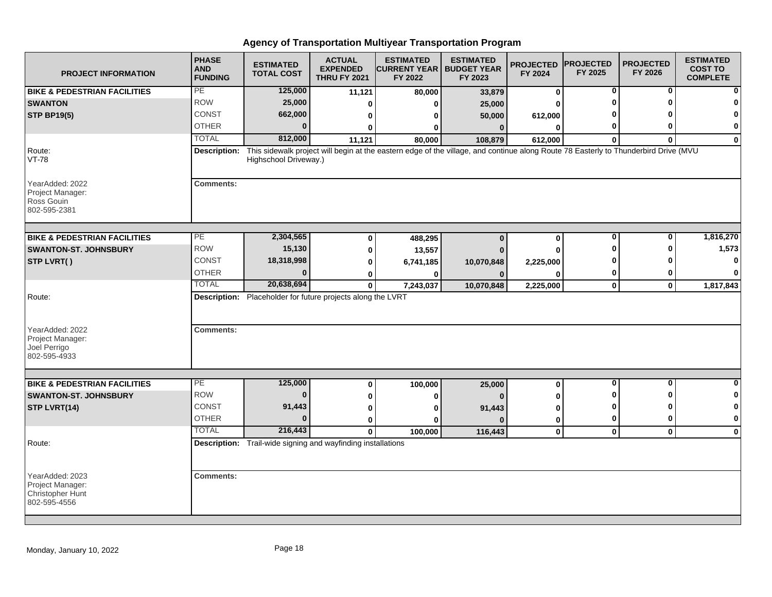| <b>PROJECT INFORMATION</b>                                              | <b>PHASE</b><br><b>AND</b><br><b>FUNDING</b> | <b>ESTIMATED</b><br><b>TOTAL COST</b>                               | <b>ACTUAL</b><br><b>EXPENDED</b><br><b>THRU FY 2021</b> | <b>ESTIMATED</b><br><b>ICURRENT YEAR I BUDGET YEAR</b><br>FY 2022                                                                   | <b>ESTIMATED</b><br>FY 2023 | <b>PROJECTED</b><br>FY 2024 | <b>PROJECTED</b><br>FY 2025 | <b>PROJECTED</b><br>FY 2026 | <b>ESTIMATED</b><br><b>COST TO</b><br><b>COMPLETE</b> |
|-------------------------------------------------------------------------|----------------------------------------------|---------------------------------------------------------------------|---------------------------------------------------------|-------------------------------------------------------------------------------------------------------------------------------------|-----------------------------|-----------------------------|-----------------------------|-----------------------------|-------------------------------------------------------|
| <b>BIKE &amp; PEDESTRIAN FACILITIES</b>                                 | PE                                           | 125,000                                                             | 11,121                                                  | 80,000                                                                                                                              | 33,879                      | 0                           | 0                           | 0                           |                                                       |
| <b>SWANTON</b>                                                          | <b>ROW</b>                                   | 25,000                                                              | 0                                                       | 0                                                                                                                                   | 25,000                      | 0                           | ŋ                           | ŋ                           |                                                       |
| <b>STP BP19(5)</b>                                                      | <b>CONST</b>                                 | 662,000                                                             | 0                                                       | 0                                                                                                                                   | 50,000                      | 612,000                     |                             |                             | O                                                     |
|                                                                         | <b>OTHER</b>                                 | $\bf{0}$                                                            | 0                                                       | 0                                                                                                                                   | $\mathbf{0}$                | $\bf{0}$                    | 0                           | ŋ                           | 0                                                     |
|                                                                         | <b>TOTAL</b>                                 | 812,000                                                             | 11,121                                                  | 80,000                                                                                                                              | 108,879                     | 612,000                     | $\bf{0}$                    | $\bf{0}$                    | $\mathbf 0$                                           |
| Route:<br><b>VT-78</b>                                                  | Description:                                 | Highschool Driveway.)                                               |                                                         | This sidewalk project will begin at the eastern edge of the village, and continue along Route 78 Easterly to Thunderbird Drive (MVU |                             |                             |                             |                             |                                                       |
| YearAdded: 2022<br>Project Manager:<br>Ross Gouin<br>802-595-2381       | <b>Comments:</b>                             |                                                                     |                                                         |                                                                                                                                     |                             |                             |                             |                             |                                                       |
| <b>BIKE &amp; PEDESTRIAN FACILITIES</b>                                 | PЕ                                           | 2,304,565                                                           | $\bf{0}$                                                | 488,295                                                                                                                             | $\bf{0}$                    | $\bf{0}$                    | $\bf{0}$                    | $\bf{0}$                    | 1,816,270                                             |
| <b>SWANTON-ST. JOHNSBURY</b>                                            | <b>ROW</b>                                   | 15,130                                                              | 0                                                       | 13,557                                                                                                                              |                             | 0                           | ŋ                           | ŋ                           | 1,573                                                 |
| STP LVRT()                                                              | CONST                                        | 18,318,998                                                          | 0                                                       | 6,741,185                                                                                                                           | 10,070,848                  | 2,225,000                   |                             | n                           | n                                                     |
|                                                                         | <b>OTHER</b>                                 | $\Omega$                                                            | 0                                                       | 0                                                                                                                                   |                             | O                           | 0                           | 0                           | 0                                                     |
|                                                                         | <b>TOTAL</b>                                 | 20,638,694                                                          | $\mathbf{0}$                                            | 7,243,037                                                                                                                           | 10,070,848                  | 2,225,000                   | $\mathbf{0}$                | $\mathbf{0}$                | 1,817,843                                             |
| Route:<br>YearAdded: 2022                                               | <b>Comments:</b>                             | Description: Placeholder for future projects along the LVRT         |                                                         |                                                                                                                                     |                             |                             |                             |                             |                                                       |
| Project Manager:<br>Joel Perrigo<br>802-595-4933                        |                                              |                                                                     |                                                         |                                                                                                                                     |                             |                             |                             |                             |                                                       |
| <b>BIKE &amp; PEDESTRIAN FACILITIES</b>                                 | PE                                           | 125,000                                                             | 0                                                       | 100,000                                                                                                                             | 25,000                      | 0                           | $\mathbf 0$                 | $\mathbf{0}$                | $\bf{0}$                                              |
| <b>SWANTON-ST. JOHNSBURY</b>                                            | <b>ROW</b>                                   | $\bf{0}$                                                            | 0                                                       | 0                                                                                                                                   |                             | 0                           | O                           | O                           | $\bf{0}$                                              |
| STP LVRT(14)                                                            | CONST                                        | 91,443                                                              | 0                                                       | ŋ                                                                                                                                   | 91,443                      | 0                           | ŋ                           | ŋ                           | 0                                                     |
|                                                                         | <b>OTHER</b>                                 | $\bf{0}$                                                            | 0                                                       | ŋ                                                                                                                                   |                             | 0                           | 0                           | 0                           | 0                                                     |
|                                                                         | <b>TOTAL</b>                                 | 216,443                                                             | $\mathbf{0}$                                            | 100,000                                                                                                                             | 116,443                     | $\mathbf{0}$                | $\mathbf{0}$                | $\mathbf{0}$                | $\mathbf 0$                                           |
| Route:                                                                  |                                              | <b>Description:</b> Trail-wide signing and wayfinding installations |                                                         |                                                                                                                                     |                             |                             |                             |                             |                                                       |
| YearAdded: 2023<br>Project Manager:<br>Christopher Hunt<br>802-595-4556 | <b>Comments:</b>                             |                                                                     |                                                         |                                                                                                                                     |                             |                             |                             |                             |                                                       |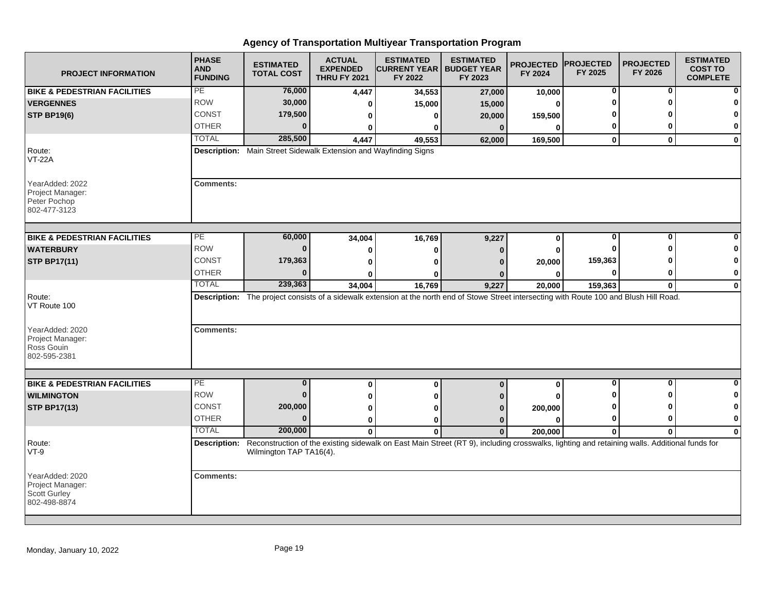| <b>PROJECT INFORMATION</b>                                                 | <b>PHASE</b><br><b>AND</b><br><b>FUNDING</b> | <b>ESTIMATED</b><br><b>TOTAL COST</b>                            | <b>ACTUAL</b><br><b>EXPENDED</b><br><b>THRU FY 2021</b> | <b>ESTIMATED</b><br><b>ICURRENT YEAR I BUDGET YEAR</b><br>FY 2022                                                                            | <b>ESTIMATED</b><br>FY 2023 | <b>PROJECTED</b><br>FY 2024 | <b>PROJECTED</b><br>FY 2025 | <b>PROJECTED</b><br>FY 2026 | <b>ESTIMATED</b><br><b>COST TO</b><br><b>COMPLETE</b> |
|----------------------------------------------------------------------------|----------------------------------------------|------------------------------------------------------------------|---------------------------------------------------------|----------------------------------------------------------------------------------------------------------------------------------------------|-----------------------------|-----------------------------|-----------------------------|-----------------------------|-------------------------------------------------------|
| <b>BIKE &amp; PEDESTRIAN FACILITIES</b>                                    | PE                                           | 76,000                                                           | 4,447                                                   | 34,553                                                                                                                                       | 27,000                      | 10,000                      | 0                           | 0                           |                                                       |
| <b>VERGENNES</b>                                                           | <b>ROW</b>                                   | 30,000                                                           | 0                                                       | 15,000                                                                                                                                       | 15,000                      | 0                           | ŋ                           | ŋ                           |                                                       |
| <b>STP BP19(6)</b>                                                         | <b>CONST</b>                                 | 179,500                                                          | 0                                                       | 0                                                                                                                                            | 20,000                      | 159,500                     |                             |                             | n                                                     |
|                                                                            | <b>OTHER</b>                                 | $\bf{0}$                                                         | 0                                                       | 0                                                                                                                                            | $\bf{0}$                    | $\bf{0}$                    | 0                           | 0                           | 0                                                     |
|                                                                            | <b>TOTAL</b>                                 | 285,500                                                          | 4,447                                                   | 49,553                                                                                                                                       | 62,000                      | 169,500                     | $\mathbf 0$                 | $\mathbf{0}$                | $\bf{0}$                                              |
| Route:<br><b>VT-22A</b>                                                    |                                              | Description: Main Street Sidewalk Extension and Wayfinding Signs |                                                         |                                                                                                                                              |                             |                             |                             |                             |                                                       |
| YearAdded: 2022<br>Project Manager:<br>Peter Pochop<br>802-477-3123        | <b>Comments:</b>                             |                                                                  |                                                         |                                                                                                                                              |                             |                             |                             |                             |                                                       |
| <b>BIKE &amp; PEDESTRIAN FACILITIES</b>                                    | PЕ                                           | 60,000                                                           | 34,004                                                  | 16,769                                                                                                                                       | 9,227                       | $\bf{0}$                    | 0                           | $\bf{0}$                    |                                                       |
| <b>WATERBURY</b>                                                           | <b>ROW</b>                                   | $\bf{0}$                                                         | 0                                                       | 0                                                                                                                                            | 0                           | 0                           | ŋ                           | ŋ                           |                                                       |
| <b>STP BP17(11)</b>                                                        | CONST                                        | 179,363                                                          | 0                                                       | ŋ                                                                                                                                            |                             | 20,000                      | 159,363                     |                             | 0                                                     |
|                                                                            | <b>OTHER</b>                                 | $\Omega$                                                         | U                                                       | O                                                                                                                                            |                             | 0                           | 0                           | 0                           | 0                                                     |
|                                                                            | <b>TOTAL</b>                                 | 239,363                                                          | 34,004                                                  | 16,769                                                                                                                                       | 9,227                       | 20,000                      | 159,363                     | $\mathbf{0}$                | $\mathbf 0$                                           |
| Route:<br>VT Route 100                                                     |                                              |                                                                  |                                                         | Description: The project consists of a sidewalk extension at the north end of Stowe Street intersecting with Route 100 and Blush Hill Road.  |                             |                             |                             |                             |                                                       |
| YearAdded: 2020<br>Project Manager:<br>Ross Gouin<br>802-595-2381          | <b>Comments:</b>                             |                                                                  |                                                         |                                                                                                                                              |                             |                             |                             |                             |                                                       |
|                                                                            |                                              |                                                                  |                                                         |                                                                                                                                              |                             |                             |                             |                             |                                                       |
| <b>BIKE &amp; PEDESTRIAN FACILITIES</b>                                    | PE                                           | $\bf{0}$                                                         | $\bf{0}$                                                | 0                                                                                                                                            | $\bf{0}$                    | 0                           | $\mathbf 0$                 | $\mathbf{0}$                | $\bf{0}$                                              |
| <b>WILMINGTON</b>                                                          | <b>ROW</b>                                   | $\bf{0}$                                                         | 0                                                       | 0                                                                                                                                            |                             |                             | O                           | ŋ                           | 0                                                     |
| <b>STP BP17(13)</b>                                                        | CONST                                        | 200,000                                                          | 0                                                       | ŋ                                                                                                                                            |                             | 200,000                     | ŋ                           | ŋ                           | 0                                                     |
|                                                                            | <b>OTHER</b>                                 | $\bf{0}$                                                         | $\bf{0}$                                                | 0                                                                                                                                            | $\bf{0}$                    | $\bf{0}$                    | 0                           | 0                           | 0                                                     |
|                                                                            | <b>TOTAL</b>                                 | 200,000                                                          | $\Omega$                                                | $\bf{0}$                                                                                                                                     | $\mathbf{0}$                | 200.000                     | $\mathbf{0}$                | $\Omega$                    | $\Omega$                                              |
| Route:<br>$VT-9$                                                           | Description:                                 | Wilmington TAP TA16(4).                                          |                                                         | Reconstruction of the existing sidewalk on East Main Street (RT 9), including crosswalks, lighting and retaining walls. Additional funds for |                             |                             |                             |                             |                                                       |
| YearAdded: 2020<br>Project Manager:<br><b>Scott Gurley</b><br>802-498-8874 | <b>Comments:</b>                             |                                                                  |                                                         |                                                                                                                                              |                             |                             |                             |                             |                                                       |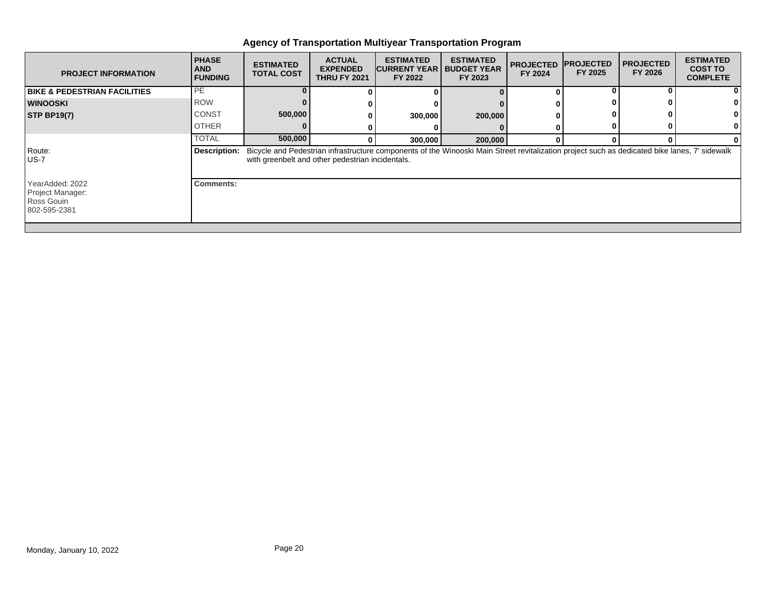| <b>PROJECT INFORMATION</b>                                        | <b>PHASE</b><br><b>AND</b><br><b>FUNDING</b> | <b>ESTIMATED</b><br><b>TOTAL COST</b> | <b>ACTUAL</b><br><b>EXPENDED</b><br><b>THRU FY 2021</b> | <b>ESTIMATED</b><br><b>CURRENT YEAR</b><br>FY 2022 | <b>ESTIMATED</b><br><b>BUDGET YEAR</b><br>FY 2023                                                                                             | <b>PROJECTED</b><br>FY 2024 | <b>IPROJECTED</b><br>FY 2025 | <b>I PROJECTED</b><br>FY 2026 | <b>ESTIMATED</b><br><b>COST TO</b><br><b>COMPLETE</b> |
|-------------------------------------------------------------------|----------------------------------------------|---------------------------------------|---------------------------------------------------------|----------------------------------------------------|-----------------------------------------------------------------------------------------------------------------------------------------------|-----------------------------|------------------------------|-------------------------------|-------------------------------------------------------|
| <b>BIKE &amp; PEDESTRIAN FACILITIES</b>                           | PE                                           |                                       |                                                         |                                                    |                                                                                                                                               | 0                           |                              |                               |                                                       |
| <b>WINOOSKI</b>                                                   | <b>ROW</b>                                   |                                       |                                                         |                                                    |                                                                                                                                               |                             |                              |                               |                                                       |
| <b>STP BP19(7)</b>                                                | <b>CONST</b>                                 | 500,000                               |                                                         | 300,000                                            | 200,000                                                                                                                                       |                             |                              |                               |                                                       |
|                                                                   | <b>OTHER</b>                                 |                                       |                                                         |                                                    |                                                                                                                                               |                             |                              |                               |                                                       |
|                                                                   | <b>TOTAL</b>                                 | 500,000                               |                                                         | 300,000                                            | 200,000                                                                                                                                       | $\Omega$                    |                              |                               |                                                       |
| Route:<br><b>US-7</b>                                             | <b>Description:</b>                          |                                       | with greenbelt and other pedestrian incidentals.        |                                                    | Bicycle and Pedestrian infrastructure components of the Winooski Main Street revitalization project such as dedicated bike lanes, 7' sidewalk |                             |                              |                               |                                                       |
| YearAdded: 2022<br>Project Manager:<br>Ross Gouin<br>802-595-2381 | <b>Comments:</b>                             |                                       |                                                         |                                                    |                                                                                                                                               |                             |                              |                               |                                                       |
|                                                                   |                                              |                                       |                                                         |                                                    |                                                                                                                                               |                             |                              |                               |                                                       |